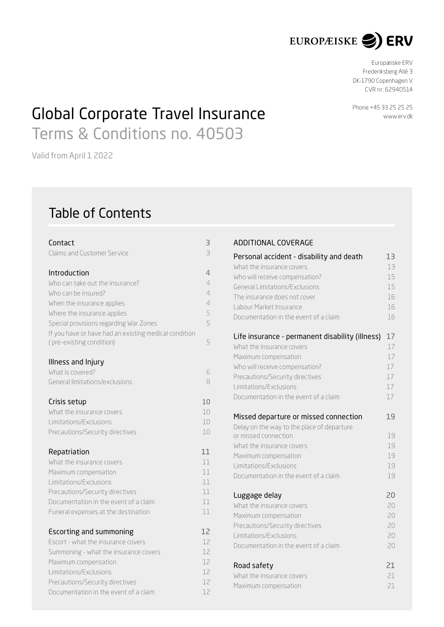

Europæiske ERV Frederiksberg Allé 3 DK-1790 Copenhagen V CVR nr : 62940514

# Global Corporate Travel Insurance Terms & Conditions no. 40503

Valid from April 1 2022

## Table of Contents

| Contact                                                              | З              |
|----------------------------------------------------------------------|----------------|
| Claims and Customer Service                                          | 3              |
|                                                                      |                |
| Introduction                                                         | 4              |
| Who can take out the insurance?                                      | $\overline{4}$ |
| Who can be insured?                                                  | 4              |
| When the insurance applies                                           | $\overline{4}$ |
| Where the insurance applies                                          | 5              |
| Special provisions regarding War Zones                               | 5              |
| If you have or have had an existing medical condition                |                |
| (pre-existing condition)                                             | 5              |
| Illness and Injury                                                   |                |
| What is covered?                                                     | 6              |
| General limitations/exclusions                                       | 8              |
|                                                                      |                |
| Crisis setup                                                         | 10             |
| What the insurance covers                                            | 10             |
| Limitations/Exclusions                                               | 10             |
| Precautions/Security directives                                      | 10             |
|                                                                      |                |
| Repatriation                                                         | 11             |
| What the insurance covers                                            | 11             |
| Maximum compensation                                                 | 11             |
| Limitations/Exclusions                                               | 11             |
| Precautions/Security directives                                      | 11             |
| Documentation in the event of a claim                                | 11             |
| Funeral expenses at the destination                                  | 11             |
|                                                                      | 12             |
| <b>Escorting and summoning</b><br>Escort - what the insurance covers | 12             |
|                                                                      | 12             |
| Summoning - what the insurance covers<br>Maximum compensation        | 12             |
| Limitations/Exclusions                                               | 12             |
|                                                                      | 12             |
| Precautions/Security directives                                      |                |
| Documentation in the event of a claim                                | 12             |

## ADDITIONAL COVERAGE

| Personal accident - disability and death                                                                                                                                                                                            | 13                               |
|-------------------------------------------------------------------------------------------------------------------------------------------------------------------------------------------------------------------------------------|----------------------------------|
| What the insurance covers                                                                                                                                                                                                           | 13                               |
| Who will receive compensation?                                                                                                                                                                                                      | 15                               |
| General Limitations/Exclusions                                                                                                                                                                                                      | 15                               |
| The insurance does not cover                                                                                                                                                                                                        | 16                               |
| Labour Market Insurance                                                                                                                                                                                                             | 16                               |
| Documentation in the event of a claim                                                                                                                                                                                               | 16                               |
| Life insurance - permanent disability (illness)                                                                                                                                                                                     | 17                               |
| What the insurance covers                                                                                                                                                                                                           | 17                               |
| Maximum compensation                                                                                                                                                                                                                | 17                               |
| Who will receive compensation?                                                                                                                                                                                                      | 17                               |
| Precautions/Security directives                                                                                                                                                                                                     | 17                               |
| Limitations/Exclusions                                                                                                                                                                                                              | 17                               |
| Documentation in the event of a claim                                                                                                                                                                                               | 17                               |
| Missed departure or missed connection<br>Delay on the way to the place of departure<br>or missed connection<br>What the insurance covers<br>Maximum compensation<br>Limitations/Exclusions<br>Documentation in the event of a claim | 19<br>19<br>19<br>19<br>19<br>19 |
| Luggage delay                                                                                                                                                                                                                       | 20                               |
| What the insurance covers                                                                                                                                                                                                           | 20                               |
| Maximum compensation                                                                                                                                                                                                                | 20                               |
| Precautions/Security directives                                                                                                                                                                                                     | 20                               |
| Limitations/Exclusions                                                                                                                                                                                                              | $20 -$                           |
| Documentation in the event of a claim                                                                                                                                                                                               | 20                               |
| Road safety                                                                                                                                                                                                                         | 21                               |
| What the insurance covers                                                                                                                                                                                                           | 21                               |
| Maximum compensation                                                                                                                                                                                                                | 21                               |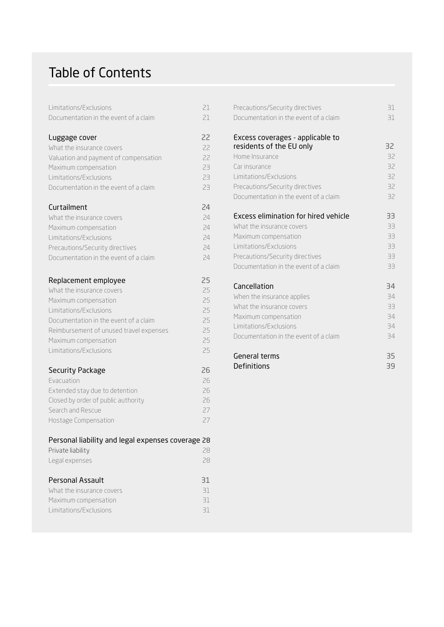## Table of Contents

| Limitations/Exclusions                            | 21 |
|---------------------------------------------------|----|
| Documentation in the event of a claim             | 21 |
|                                                   |    |
| Luggage cover                                     | 22 |
| What the insurance covers                         | 22 |
| Valuation and payment of compensation             | 22 |
| Maximum compensation                              | 23 |
| Limitations/Exclusions                            | 23 |
| Documentation in the event of a claim             | 23 |
| Curtailment                                       | 24 |
| What the insurance covers                         | 24 |
| Maximum compensation                              | 24 |
| Limitations/Exclusions                            | 24 |
| Precautions/Security directives                   | 24 |
| Documentation in the event of a claim             | 24 |
| Replacement employee                              | 25 |
| What the insurance covers                         | 25 |
| Maximum compensation                              | 25 |
| Limitations/Exclusions                            | 25 |
| Documentation in the event of a claim             | 25 |
| Reimbursement of unused travel expenses           | 25 |
| Maximum compensation                              | 25 |
| Limitations/Exclusions                            | 25 |
| <b>Security Package</b>                           | 26 |
| Evacuation                                        | 26 |
| Extended stay due to detention                    | 26 |
| Closed by order of public authority               | 26 |
| Search and Rescue                                 | 27 |
| Hostage Compensation                              | 27 |
| Personal liability and legal expenses coverage 28 |    |
| Private liability                                 | 28 |
| Legal expenses                                    | 28 |
| <b>Personal Assault</b>                           | 31 |
| What the insurance covers                         | 31 |
| Maximum compensation                              | 31 |
| Limitations/Exclusions                            | 31 |
|                                                   |    |

| Precautions/Security directives       | 31 |
|---------------------------------------|----|
| Documentation in the event of a claim | 31 |
| Excess coverages - applicable to      |    |
| residents of the EU only              | 32 |
| Home Insurance                        | 32 |
| Car insurance                         | 32 |
| Limitations/Exclusions                | 32 |
| Precautions/Security directives       | 32 |
| Documentation in the event of a claim | 32 |
| Excess elimination for hired vehicle  | 33 |
| What the insurance covers             | 33 |
| Maximum compensation                  | 33 |
| Limitations/Exclusions                | 33 |
| Precautions/Security directives       | 33 |
| Documentation in the event of a claim | 33 |
| Cancellation                          | 34 |
| When the insurance applies            | 34 |
| What the insurance covers             | 33 |
| Maximum compensation                  | 34 |
| Limitations/Exclusions                | 34 |
| Documentation in the event of a claim | 34 |
| General terms                         | 35 |
| Definitions                           | 39 |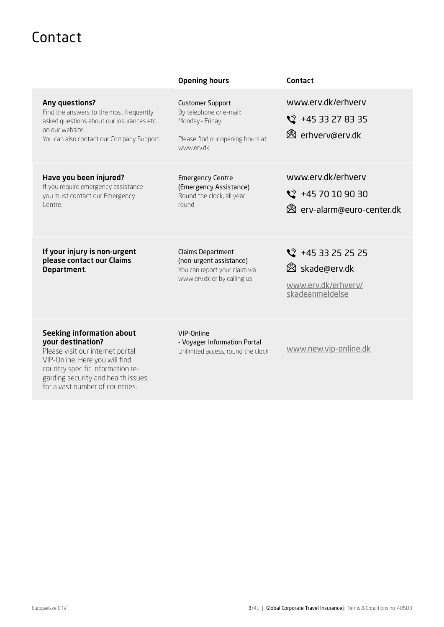# <span id="page-2-0"></span>Contact

|                                                                                                                                                                        | <b>Opening hours</b>                                                                                                     | Contact                                                                                      |
|------------------------------------------------------------------------------------------------------------------------------------------------------------------------|--------------------------------------------------------------------------------------------------------------------------|----------------------------------------------------------------------------------------------|
| Any questions?<br>Find the answers to the most frequently<br>asked questions about our insurances etc.<br>on our website.<br>You can also contact our Company Support. | <b>Customer Support</b><br>By telephone or e-mail:<br>Monday - Friday.<br>Please find our opening hours at<br>www.erv.dk | www.erv.dk/erhverv<br>$\frac{1}{2}$ +45 33 27 83 35<br><b><sup>⊗</sup></b> erhverv@erv.dk    |
| Have you been injured?<br>If you require emergency assistance<br>you must contact our Emergency<br>Centre.                                                             | <b>Emergency Centre</b><br>(Emergency Assistance)<br>Round the clock, all year<br>round                                  | www.erv.dk/erhverv<br>$\frac{1}{2}$ +45 70 10 90 30<br><b>&amp;</b> erv-alarm@euro-center.dk |
| If your injury is non-urgent<br>please contact our Claims<br>Department.                                                                                               | Claims Department<br>(non-urgent assistance)<br>You can report your claim via<br>www.erv.dk or by calling us             | $\frac{1}{2}$ +45 33 25 25 25<br>⊗ skade@erv.dk<br>www.erv.dk/erhverv/<br>skadeanmeldelse    |
| <b>Seeking information about</b><br>your destination?<br>Please visit our internet portal<br>VIP-Online. Here you will find                                            | VIP-Online<br>- Voyager Information Portal<br>Unlimited access, round the clock                                          | www.new.vip-online.dk                                                                        |

country specific information regarding security and health issues for a vast number of countries.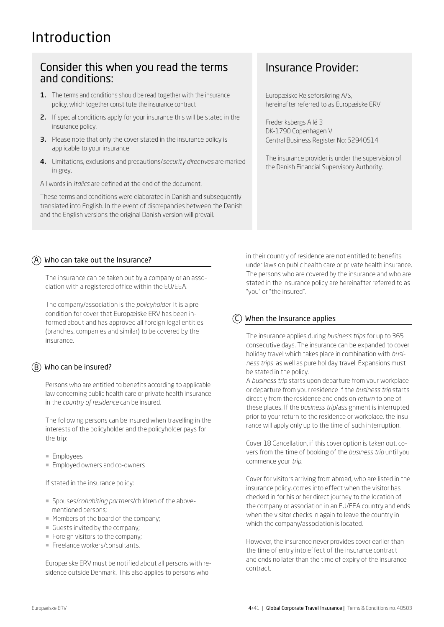# <span id="page-3-0"></span>Introduction

## Consider this when you read the terms and conditions:

- 1. The terms and conditions should be read together with the insurance policy, which together constitute the insurance contract
- 2. If special conditions apply for your insurance this will be stated in the insurance policy.
- **3.** Please note that only the cover stated in the insurance policy is applicable to your insurance.
- 4. Limitations, exclusions and precautions/*security directives* are marked in grey.

All words in *italics* are defined at the end of the document.

These terms and conditions were elaborated in Danish and subsequently translated into English. In the event of discrepancies between the Danish and the English versions the original Danish version will prevail.

## Insurance Provider:

Europæiske Rejseforsikring A/S, hereinafter referred to as Europæiske ERV

Frederiksbergs Allé 3 DK-1790 Copenhagen V Central Business Register No: 62940514

The insurance provider is under the supervision of the Danish Financial Supervisory Authority.

## $\overline{A}$  Who can take out the Insurance?

The insurance can be taken out by a company or an association with a registered office within the EU/EEA.

The company/association is the *policyholder*. It is a precondition for cover that Europæiske ERV has been informed about and has approved all foreign legal entities (branches, companies and similar) to be covered by the insurance.

## $(B)$  Who can be insured?

Persons who are entitled to benefits according to applicable law concerning public health care or private health insurance in the *country of residence* can be insured.

The following persons can be insured when travelling in the interests of the policyholder and the policyholder pays for the trip:

- ¡ Employees
- **Employed owners and co-owners**

If stated in the insurance policy:

- ¡ Spouses/*cohabiting partners*/children of the abovementioned persons;
- ¡ Members of the board of the company;
- ¡ Guests invited by the company;
- **Foreign visitors to the company:**
- **Freelance workers/consultants.**

Europæiske ERV must be notified about all persons with residence outside Denmark. This also applies to persons who

in their country of residence are not entitled to benefits under laws on public health care or private health insurance. The persons who are covered by the insurance and who are stated in the insurance policy are hereinafter referred to as "you" or "the insured".

## When the Insurance applies

The insurance applies during *business trips* for up to 365 consecutive days. The insurance can be expanded to cover holiday travel which takes place in combination with *business trips* as well as pure holiday travel. Expansions must be stated in the policy.

A *business trip* starts upon departure from your workplace or departure from your residence if the *business trip* starts directly from the residence and ends on *return* to one of these places. If the *business trip*/assignment is interrupted prior to your return to the residence or workplace, the insurance will apply only up to the time of such interruption.

Cover 18 Cancellation, if this cover option is taken out, covers from the time of booking of the *business trip* until you commence your *trip*.

Cover for visitors arriving from abroad, who are listed in the insurance policy, comes into effect when the visitor has checked in for his or her direct journey to the location of the company or association in an EU/EEA country and ends when the visitor checks in again to leave the country in which the company/association is located.

However, the insurance never provides cover earlier than the time of entry into effect of the insurance contract and ends no later than the time of expiry of the insurance contract.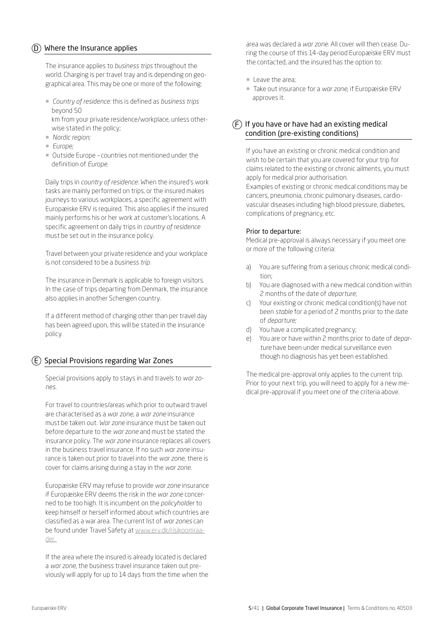## <span id="page-4-0"></span> $(D)$  Where the Insurance applies

The insurance applies to *business trips* throughout the world. Charging is per travel tray and is depending on geographical area. This may be one or more of the following:

¡ *Country of residence:* this is defined as *business trips* beyond 50

km from your private residence/workplace, unless otherwise stated in the policy;

- ¡ *Nordic region;*
- ¡ *Europe;*
- ¡ Outside Europecountries not mentioned under the definition of *Europe.*

Daily trips in *country of residence*: When the insured's work tasks are mainly performed on trips, or the insured makes journeys to various workplaces, a specific agreement with Europæiske ERV is required. This also applies if the insured mainly performs his or her work at customer's locations. A specific agreement on daily trips in *country of residence* must be set out in the insurance policy.

Travel between your private residence and your workplace is not considered to be a *business trip.* 

The insurance in Denmark is applicable to foreign visitors. In the case of trips departing from Denmark, the insurance also applies in another Schengen country.

If a different method of charging other than per travel day has been agreed upon, this will be stated in the insurance policy.

 $E(E)$  Special Provisions regarding War Zones

Special provisions apply to stays in and travels to *war zones*.

For travel to countries/areas which prior to outward travel are characterised as a *war zone*, a *war zone* insurance must be taken out. *War zone* insurance must be taken out before departure to the *war zone* and must be stated the insurance policy. The *war zone* insurance replaces all covers in the business travel insurance. If no such *war zone* insurance is taken out prior to travel into the *war zone*, there is cover for claims arising during a stay in the *war zone*.

Europæiske ERV may refuse to provide *war zone* insurance if Europæiske ERV deems the risk in the *war zone* concerned to be too high. It is incumbent on the *policyholder* to keep himself or herself informed about which countries are classified as a war area. The current list of *war zones* can be found under Travel Safety at [www.erv.dk/risikoomraa](http://www.erv.dk/risikoomraader. )[der.](http://www.erv.dk/risikoomraader. ) 

If the area where the insured is already located is declared a *war zone*, the business travel insurance taken out previously will apply for up to 14 days from the time when the

area was declared a *war zone*. All cover will then cease. During the course of this 14-day period Europæiske ERV must the contacted, and the insured has the option to:

- $\blacksquare$  Leave the area;
- ¡ Take out insurance for a *war zone*, if Europæiske ERV approves it.

## $(F)$  If you have or have had an existing medical condition (pre-existing conditions)

If you have an existing or chronic medical condition and wish to be certain that you are covered for your trip for claims related to the existing or chronic ailments, you must apply for medical prior authorisation.

Examples of existing or chronic medical conditions may be cancers, pneumonia, chronic pulmonary diseases, cardiovascular diseases including high blood pressure, diabetes, complications of pregnancy, etc.

## Prior to departure:

Medical pre-approval is always necessary if you meet one or more of the following criteria:

- a) You are suffering from a serious chronic medical condition;
- b) You are diagnosed with a new medical condition within 2 months of the date of *departure*;
- c) Your existing or chronic medical condition(s) have not been *stable* for a period of 2 months prior to the date of *departure;*
- d) You have a complicated pregnancy;
- You are or have within 2 months prior to date of *departure* have been under medical surveillance even though no diagnosis has yet been established.

The medical pre-approval only applies to the current trip. Prior to your next trip, you will need to apply for a new medical pre-approval if you meet one of the criteria above.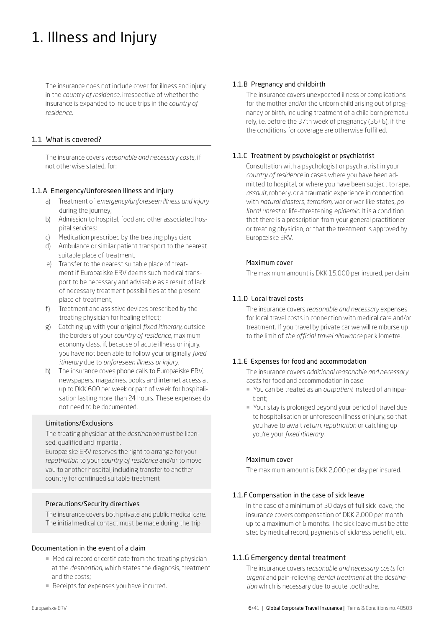# <span id="page-5-0"></span>1. Illness and Injury

The insurance does not include cover for illness and injury in the *country of residence*, irrespective of whether the insurance is expanded to include trips in the *country of residence*.

## 1.1 What is covered?

The insurance covers *reasonable and necessary costs*, if not otherwise stated, for:

## 1.1.A Emergency/Unforeseen Illness and Injury

- a) Treatment of *emergency/unforeseen illness and injury* during the journey;
- b) Admission to hospital, food and other associated hospital services;
- c) Medication prescribed by the treating physician;
- d) Ambulance or similar patient transport to the nearest suitable place of treatment;
- e) Transfer to the nearest suitable place of treatment if Europæiske ERV deems such medical transport to be necessary and advisable as a result of lack of necessary treatment possibilities at the present place of treatment;
- f) Treatment and assistive devices prescribed by the treating physician for healing effect;
- g) Catching up with your original *fixed itinerary*, outside the borders of your *country of residence*, maximum economy class, if, because of acute illness or injury, you have not been able to follow your originally *fixed itinerary* due to *unforeseen illness or injury*;
- h) The insurance coves phone calls to Europæiske ERV, newspapers, magazines, books and internet access at up to DKK 600 per week or part of week for hospitalisation lasting more than 24 hours. These expenses do not need to be documented.

## Limitations/Exclusions

The treating physician at the *destination* must be licensed, qualified and impartial.

Europæiske ERV reserves the right to arrange for your *repatriation* to your *country of residence* and/or to move you to another hospital, including transfer to another country for continued suitable treatment

## Precautions/Security directives

The insurance covers both private and public medical care. The initial medical contact must be made during the trip.

## Documentation in the event of a claim

- Medical record or certificate from the treating physician at the *destination*, which states the diagnosis, treatment and the costs;
- Receipts for expenses you have incurred.

## 1.1.B Pregnancy and childbirth

The insurance covers unexpected illness or complications for the mother and/or the unborn child arising out of pregnancy or birth, including treatment of a child born prematurely, i.e. before the 37th week of pregnancy (36+6), if the the conditions for coverage are otherwise fulfilled.

## 1.1.C Treatment by psychologist or psychiatrist

Consultation with a psychologist or psychiatrist in your *country of residence* in cases where you have been admitted to hospital, or where you have been subject to rape, *assault*, robbery, or a traumatic experience in connection with *natural diasters, terrorism,* war or war-like states, *political unrest* or life-threatening *epidemic*. It is a condition that there is a prescription from your general practitioner or treating physician, or that the treatment is approved by Europæiske ERV.

## Maximum cover

The maximum amount is DKK 15,000 per insured, per claim.

## 1.1.D Local travel costs

The insurance covers *reasonable and necessary* expenses for local travel costs in connection with medical care and/or treatment. If you travel by private car we will reimburse up to the limit of *the official travel allowance* per kilometre.

## 1.1.E Expenses for food and accommodation

The insurance covers *additional reasonable and necessary costs* for food and accommodation in case:

- ¡ You can be treated as an *outpatient* instead of an inpatient;
- ¡ Your stay is prolonged beyond your period of travel due to hospitalisation or unforeseen illness or injury, so that you have to await *return*, *repatriation* or catching up you're your *fixed itinerary.*

## Maximum cover

The maximum amount is DKK 2,000 per day per insured.

## 1.1.F Compensation in the case of sick leave

In the case of a minimum of 30 days of full sick leave, the insurance covers compensation of DKK 2,000 per month up to a maximum of 6 months. The sick leave must be attested by medical record, payments of sickness benefit, etc.

## 1.1.G Emergency dental treatment

The insurance covers r*easonable and necessary costs* for *urgent* and pain-relieving *dental treatment* at the *destination* which is necessary due to acute toothache.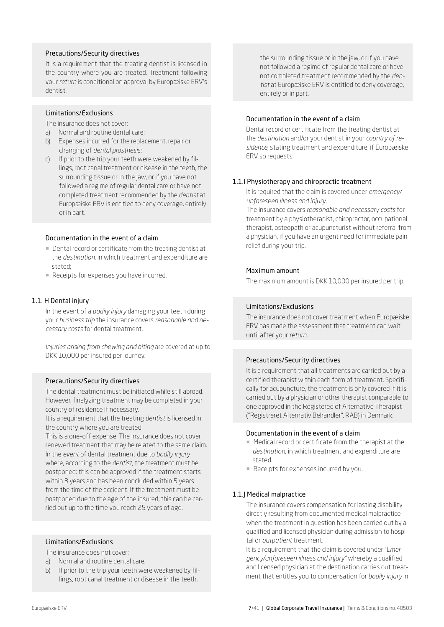## Precautions/Security directives

It is a requirement that the treating dentist is licensed in the country where you are treated. Treatment following your *return* is conditional on approval by Europæiske ERV's dentist.

## Limitations/Exclusions

The insurance does not cover:

- a) Normal and routine dental care;
- b) Expenses incurred for the replacement, repair or changing of *dental prosthesis*;
- c) If prior to the trip your teeth were weakened by fillings, root canal treatment or disease in the teeth, the surrounding tissue or in the jaw, or if you have not followed a regime of regular dental care or have not completed treatment recommended by the *dentist* at Europæiske ERV is entitled to deny coverage, entirely or in part.

#### Documentation in the event of a claim

- Dental record or certificate from the treating dentist at the *destination*, in which treatment and expenditure are stated;
- Receipts for expenses you have incurred.

## 1.1. H Dental injury

In the event of a *bodily injury* damaging your teeth during your *business trip* the insurance covers *reasonable and necessary costs* for dental treatment.

*Injuries arising from chewing and biting* are covered at up to DKK 10,000 per insured per journey.

## Precautions/Security directives

The dental treatment must be initiated while still abroad. However, finalyzing treatment may be completed in your country of residence if necessary.

It is a requirement that the treating *dentist* is licensed in the country where you are treated.

This is a one-off expense. The insurance does not cover renewed treatment that may be related to the same claim. In the *event* of dental treatment due to *bodily injury* where, according to the *dentist*, the treatment must be postponed; this can be approved if the treatment starts within 3 years and has been concluded within 5 years from the time of the accident. If the treatment must be postponed due to the age of the insured, this can be carried out up to the time you reach 25 years of age.

## Limitations/Exclusions

The insurance does not cover:

- a) Normal and routine dental care;
- b) If prior to the trip your teeth were weakened by fillings, root canal treatment or disease in the teeth,

the surrounding tissue or in the jaw, or if you have not followed a regime of regular dental care or have not completed treatment recommended by the *dentist* at Europæiske ERV is entitled to deny coverage, entirely or in part.

#### Documentation in the event of a claim

Dental record or certificate from the treating dentist at the *destination* and/or your dentist in your *country of residence*, stating treatment and expenditure, if Europæiske ERV so requests.

## 1.1.I Physiotherapy and chiropractic treatment

It is required that the claim is covered under *emergency/ unforeseen illness and injury.*

The insurance covers *reasonable and necessary costs* for treatment by a physiotherapist, chiropractor, occupational therapist, osteopath or acupuncturist without referral from a physician, if you have an urgent need for immediate pain relief during your trip.

#### Maximum amount

The maximum amount is DKK 10,000 per insured per trip.

#### Limitations/Exclusions

The insurance does not cover treatment when Europæiske ERV has made the assessment that treatment can wait until after your *return*.

## Precautions/Security directives

It is a requirement that all treatments are carried out by a certified therapist within each form of treatment. Specifically for acupuncture, the treatment is only covered if it is carried out by a physician or other therapist comparable to one approved in the Registered of Alternative Therapist ("Registreret Alternativ Behandler", RAB) in Denmark.

#### Documentation in the event of a claim

- ¡ Medical record or certificate from the therapist at the *destination*, in which treatment and expenditure are stated.
- Receipts for expenses incurred by you.

#### 1.1.J Medical malpractice

The insurance covers compensation for lasting disability directly resulting from documented medical malpractice when the treatment in question has been carried out by a qualified and licensed physician during admission to hospital or *outpatient* treatment.

It is a requirement that the claim is covered under "*Emergency/unforeseen illness and injury"* whereby a qualified and licensed physician at the destination carries out treatment that entitles you to compensation for *bodily injury* in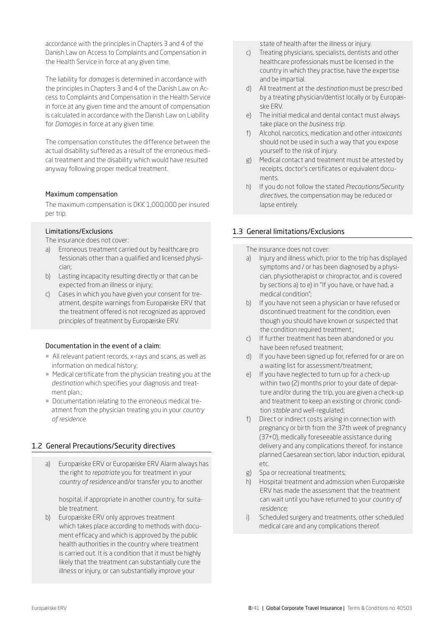<span id="page-7-0"></span>accordance with the principles in Chapters 3 and 4 of the Danish Law on Access to Complaints and Compensation in the Health Service in force at any given time.

The liability for *damages* is determined in accordance with the principles in Chapters 3 and 4 of the Danish Law on Access to Complaints and Compensation in the Health Service in force at any given time and the amount of compensation is calculated in accordance with the Danish Law on Liability for *Damages* in force at any given time.

The compensation constitutes the difference between the actual disability suffered as a result of the erroneous medical treatment and the disability which would have resulted anyway following proper medical treatment.

## Maximum compensation

The maximum compensation is DKK 1,000,000 per insured per trip.

## Limitations/Exclusions

The insurance does not cover:

- a) Erroneous treatment carried out by healthcare pro fessionals other than a qualified and licensed physician;
- b) Lasting incapacity resulting directly or that can be expected from an illness or injury;
- c) Cases in which you have given your consent for treatment, despite warnings from Europæiske ERV that the treatment offered is not recognized as approved principles of treatment by Europæiske ERV.

## Documentation in the event of a claim:

- ¡ All relevant patient records, x-rays and scans, as well as information on medical history;
- Medical certificate from the physician treating you at the *destination* which specifies your diagnosis and treatment plan.;
- ¡ Documentation relating to the erroneous medical treatment from the physician treating you in your *country of residence*.

## 1.2 General Precautions/Security directives

a) Europæiske ERV or Europæiske ERV Alarm always has the right to *repatriate* you for treatment in your *country of residence* and/or transfer you to another

hospital, if appropriate in another country, for suitable treatment.

b) Europæiske ERV only approves treatment which takes place according to methods with document efficacy and which is approved by the public health authorities in the country where treatment is carried out. It is a condition that it must be highly likely that the treatment can substantially cure the illness or injury, or can substantially improve your

state of health after the illness or injury.

- c) Treating physicians, specialists, dentists and other healthcare professionals must be licensed in the country in which they practise, have the expertise and be impartial.
- d) All treatment at the *destination* must be prescribed by a treating physician/dentist locally or by Europæiske ERV.
- e) The initial medical and dental contact must always take place on the *business trip*.
- f) Alcohol, narcotics, medication and other *intoxicants* should not be used in such a way that you expose yourself to the risk of injury.
- g) Medical contact and treatment must be attested by receipts, doctor's certificates or equivalent documents.
- h) If you do not follow the stated *Precautions/Security directives*, the compensation may be reduced or lapse entirely.

## 1.3 General limitations/Exclusions

The insurance does not cover:

- a) Injury and illness which, prior to the trip has displayed symptoms and / or has been diagnosed by a physician, physiotherapist or chiropractor, and is covered by sections a) to e) in "If you have, or have had, a medical condition";
- b) If you have not seen a physician or have refused or discontinued treatment for the condition, even though you should have known or suspected that the condition required treatment.;
- c) If further treatment has been abandoned or you have been refused treatment;
- d) If you have been signed up for, referred for or are on a waiting list for assessment/treatment;
- e) If you have neglected to turn up for a check-up within two (2) months prior to your date of departure and/or during the trip, you are given a check-up and treatment to keep an existing or chronic condition *stable* and well-regulated;
- f) Direct or indirect costs arising in connection with pregnancy or birth from the 37th week of pregnancy (37+0), medically foreseeable assistance during delivery and any complications thereof, for instance planned Caesarean section, labor induction, epidural, etc.
- g) Spa or recreational treatments;
- h) Hospital treatment and admission when Europæiske ERV has made the assessment that the treatment can wait until you have returned to your *country of residence;*
- i) Scheduled surgery and treatments, other scheduled medical care and any complications thereof.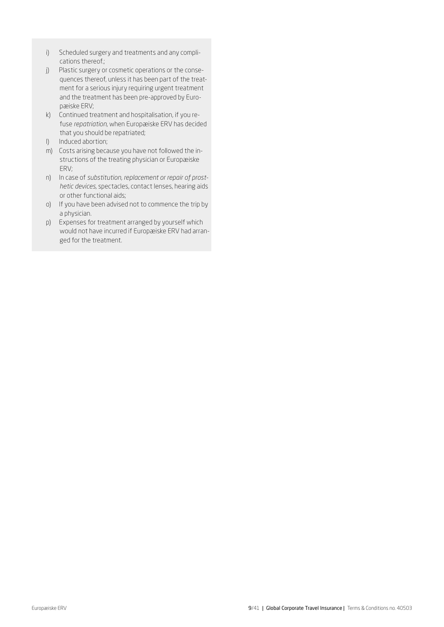- i) Scheduled surgery and treatments and any complications thereof.;
- j) Plastic surgery or cosmetic operations or the consequences thereof, unless it has been part of the treatment for a serious injury requiring urgent treatment and the treatment has been pre-approved by Europæiske ERV;
- k) Continued treatment and hospitalisation, if you refuse *repatriation*, when Europæiske ERV has decided that you should be repatriated;
- l) Induced abortion;
- m) Costs arising because you have not followed the instructions of the treating physician or Europæiske ERV;
- n) In case of *substitution, replacement or repair of prosthetic devices,* spectacles, contact lenses, hearing aids or other functional aids;
- o) If you have been advised not to commence the trip by a physician.
- p) Expenses for treatment arranged by yourself which would not have incurred if Europæiske ERV had arranged for the treatment.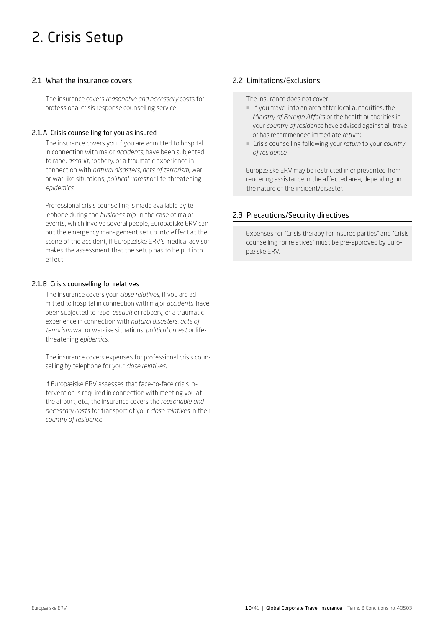# <span id="page-9-0"></span>2. Crisis Setup

## 2.1 What the insurance covers

The insurance covers *reasonable and necessary* costs for professional crisis response counselling service.

## 2.1.A Crisis counselling for you as insured

The insurance covers you if you are admitted to hospital in connection with major *accidents*, have been subjected to rape, *assault*, robbery, or a traumatic experience in connection with *natural disasters*, *acts of terrorism,* war or war-like situations, *political unrest* or life-threatening *epidemics*.

Professional crisis counselling is made available by telephone during the *business trip*. In the case of major events, which involve several people, Europæiske ERV can put the emergency management set up into effect at the scene of the accident, if Europæiske ERV's medical advisor makes the assessment that the setup has to be put into effect. .

## 2.1.B Crisis counselling for relatives

The insurance covers your *close relatives,* if you are admitted to hospital in connection with major *accidents*, have been subjected to rape, *assault* or robbery, or a traumatic experience in connection with *natural disasters, acts of terrorism*, war or war-like situations, *political unrest* or lifethreatening *epidemics*.

The insurance covers expenses for professional crisis counselling by telephone for your *close relatives.*

If Europæiske ERV assesses that face-to-face crisis intervention is required in connection with meeting you at the airport, etc., the insurance covers the *reasonable and necessary costs* for transport of your *close relatives* in their *country of residence.* 

## 2.2 Limitations/Exclusions

The insurance does not cover:

- ¡ If you travel into an area after local authorities, the *Ministry of Foreign Affairs* or the health authorities in your *country of residence* have advised against all travel or has recommended immediate *return*;
- ¡ Crisis counselling following your *return* to your *country of residence.*

Europæiske ERV may be restricted in or prevented from rendering assistance in the affected area, depending on the nature of the incident/disaster.

## 2.3 Precautions/Security directives

Expenses for "Crisis therapy for insured parties" and "Crisis counselling for relatives" must be pre-approved by Europæiske ERV.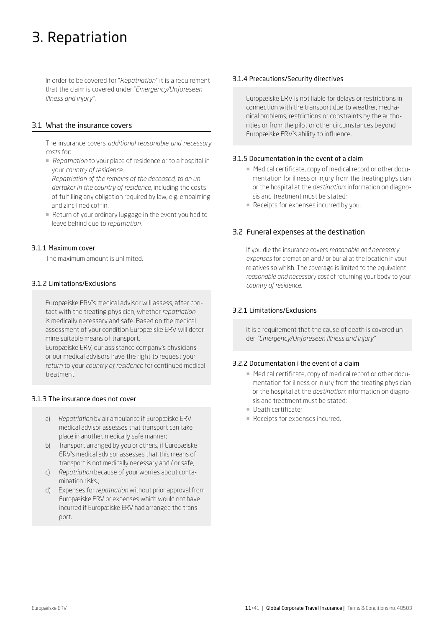# <span id="page-10-0"></span>3. Repatriation

In order to be covered for "*Repatriation*" it is a requirement that the claim is covered under "*Emergency/Unforeseen illness and injury".* 

## 3.1 What the insurance covers

The insurance covers *additional reasonable and necessary costs* for:

■ *Repatriation* to your place of residence or to a hospital in your *country of residence.* 

*Repatriation of the remains of the deceased, to an undertaker in the country of residence*, including the costs of fulfilling any obligation required by law, e.g. embalming and zinc-lined coffin.

¡ Return of your ordinary luggage in the event you had to leave behind due to *repatriation*.

## 3.1.1 Maximum cover

The maximum amount is unlimited.

## 3.1.2 Limitations/Exclusions

Europæiske ERV's medical advisor will assess, after contact with the treating physician, whether *repatriation* is medically necessary and safe. Based on the medical assessment of your condition Europæiske ERV will determine suitable means of transport.

Europæiske ERV, our assistance company's physicians or our medical advisors have the right to request your *return* to your *country of residence* for continued medical treatment.

## 3.1.3 The insurance does not cover

- a) *Repatriation* by air ambulance if Europæiske ERV medical advisor assesses that transport can take place in another, medically safe manner;
- b) Transport arranged by you or others, if Europæiske ERV's medical advisor assesses that this means of transport is not medically necessary and / or safe;
- c) *Repatriation* because of your worries about contamination risks.;
- d) Expenses for *repatriation* without prior approval from Europæiske ERV or expenses which would not have incurred if Europæiske ERV had arranged the transport.

## 3.1.4 Precautions/Security directives

Europæiske ERV is not liable for delays or restrictions in connection with the transport due to weather, mechanical problems, restrictions or constraints by the authorities or from the pilot or other circumstances beyond Europæiske ERV's ability to influence.

## 3.1.5 Documentation in the event of a claim

- Medical certificate, copy of medical record or other documentation for illness or injury from the treating physician or the hospital at the *destination*; information on diagnosis and treatment must be stated;
- Receipts for expenses incurred by you.

## 3.2 Funeral expenses at the destination

If you die the insurance covers *reasonable and necessary expenses* for cremation and / or burial at the location if your relatives so whish. The coverage is limited to the equivalent *reasonable and necessary cost* of returning your body to your *country of residence.*

## 3.2.1 Limitations/Exclusions

it is a requirement that the cause of death is covered under *"Emergency/Unforeseen illness and injury".* 

## 3.2.2 Documentation i the event of a claim

- Medical certificate, copy of medical record or other documentation for illness or injury from the treating physician or the hospital at the *destination*; information on diagnosis and treatment must be stated;
- **Death certificate;**
- **Receipts for expenses incurred.**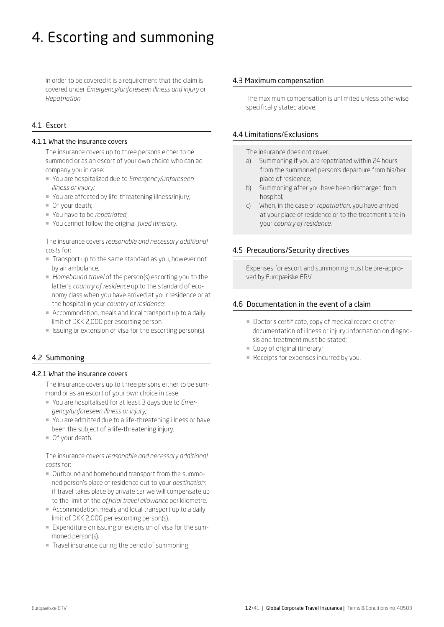# <span id="page-11-0"></span>4. Escorting and summoning

In order to be covered it is a requirement that the claim is covered under *Emergency/unforeseen illness and injury* or *Repatriation*.

## 4.1 Escort

## 4.1.1 What the insurance covers

The insurance covers up to three persons either to be summond or as an escort of your own choice who can accompany you in case:

- ¡ You are hospitalized due to *Emergency/unforeseen illness or injury;*
- ¡ You are affected by life-threatening illness/injury;
- $\blacksquare$  Of your death;
- ¡ You have to be *repatriated*;
- ¡ You cannot follow the original *fixed itinerary.*

The insurance covers *reasonable and necessary additional costs* for:

- ¡ Transport up to the same standard as you, however not by air ambulance;
- ¡ *Homebound travel* of the person(s) escorting you to the latter's *country of residence* up to the standard of economy class when you have arrived at your residence or at the hospital in your *country of residence;*
- ¡ Accommodation, meals and local transport up to a daily limit of DKK 2,000 per escorting person
- Issuing or extension of visa for the escorting person(s).

## 4.2 Summoning

## 4.2.1 What the insurance covers

The insurance covers up to three persons either to be summond or as an escort of your own choice in case:

- ¡ You are hospitalised for at least 3 days due to *Emergency/unforeseen illness or injury;*
- ¡ You are admitted due to a life-threatening illness or have been the subject of a life-threatening injury;
- ¡ Of your death.

The insurance covers *reasonable and necessary additional costs* for:

- ¡ Outbound and homebound transport from the summoned person's place of residence out to your *destination*; if travel takes place by private car we will compensate up to the limit of the *official travel allowance* per kilometre.
- Accommodation, meals and local transport up to a daily limit of DKK 2,000 per escorting person(s).
- ¡ Expenditure on issuing or extension of visa for the summoned person(s).
- Travel insurance during the period of summoning.

## 4.3 Maximum compensation

The maximum compensation is unlimited unless otherwise specifically stated above.

## 4.4 Limitations/Exclusions

The insurance does not cover:

- a) Summoning if you are repatriated within 24 hours from the summoned person's departure from his/her place of residence;
- b) Summoning after you have been discharged from hospital;
- c) When, in the case of *repatriation*, you have arrived at your place of residence or to the treatment site in your *country of residence*.

## 4.5 Precautions/Security directives

Expenses for escort and summoning must be pre-approved by Europæiske ERV.

## 4.6 Documentation in the event of a claim

- Doctor's certificate, copy of medical record or other documentation of illness or injury; information on diagnosis and treatment must be stated;
- Copy of original itinerary;
- Receipts for expenses incurred by you.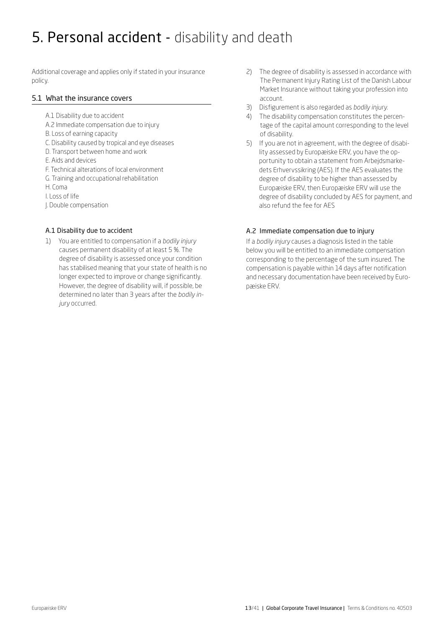## <span id="page-12-0"></span>5. Personal accident - disability and death

Additional coverage and applies only if stated in your insurance policy.

## 5.1 What the insurance covers

- A.1 Disability due to accident
- A.2 Immediate compensation due to injury
- B. Loss of earning capacity
- C. Disability caused by tropical and eye diseases
- D. Transport between home and work
- E. Aids and devices
- F. Technical alterations of local environment
- G. Training and occupational rehabilitation
- H. Coma
- I. Loss of life
- J. Double compensation

## A.1 Disability due to accident

1) You are entitled to compensation if a *bodily injury*  causes permanent disability of at least 5 %. The degree of disability is assessed once your condition has stabilised meaning that your state of health is no longer expected to improve or change significantly. However, the degree of disability will, if possible, be determined no later than 3 years after the *bodily injury* occurred.

- 2) The degree of disability is assessed in accordance with The Permanent Injury Rating List of the Danish Labour Market Insurance without taking your profession into account.
- 3) Disfigurement is also regarded as *bodily injury.*
- 4) The disability compensation constitutes the percentage of the capital amount corresponding to the level of disability.
- 5) If you are not in agreement, with the degree of disabi lity assessed by Europæiske ERV, you have the op portunity to obtain a statement from Arbejdsmarke dets Erhvervssikring (AES). If the AES evaluates the degree of disability to be higher than assessed by Europæiske ERV, then Europæiske ERV will use the degree of disability concluded by AES for payment, and also refund the fee for AES

## A.2 Immediate compensation due to injury

If a *bodily injury* causes a diagnosis listed in the table below you will be entitled to an immediate compensation corresponding to the percentage of the sum insured. The compensation is payable within 14 days after notification and necessary documentation have been received by Europæiske ERV.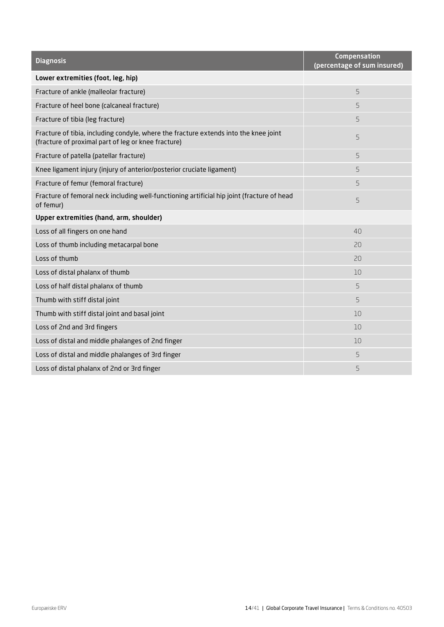| <b>Diagnosis</b>                                                                                                                            | Compensation<br>(percentage of sum insured) |
|---------------------------------------------------------------------------------------------------------------------------------------------|---------------------------------------------|
| Lower extremities (foot, leg, hip)                                                                                                          |                                             |
| Fracture of ankle (malleolar fracture)                                                                                                      | 5                                           |
| Fracture of heel bone (calcaneal fracture)                                                                                                  | 5                                           |
| Fracture of tibia (leg fracture)                                                                                                            | 5                                           |
| Fracture of tibia, including condyle, where the fracture extends into the knee joint<br>(fracture of proximal part of leg or knee fracture) | 5                                           |
| Fracture of patella (patellar fracture)                                                                                                     | 5                                           |
| Knee ligament injury (injury of anterior/posterior cruciate ligament)                                                                       | 5                                           |
| Fracture of femur (femoral fracture)                                                                                                        | 5                                           |
| Fracture of femoral neck including well-functioning artificial hip joint (fracture of head<br>of femur)                                     | 5                                           |
| Upper extremities (hand, arm, shoulder)                                                                                                     |                                             |
| Loss of all fingers on one hand                                                                                                             | 40                                          |
| Loss of thumb including metacarpal bone                                                                                                     | 20                                          |
| Loss of thumb                                                                                                                               | 20                                          |
| Loss of distal phalanx of thumb                                                                                                             | 10                                          |
| Loss of half distal phalanx of thumb                                                                                                        | 5                                           |
| Thumb with stiff distal joint                                                                                                               | 5                                           |
| Thumb with stiff distal joint and basal joint                                                                                               | 10                                          |
| Loss of 2nd and 3rd fingers                                                                                                                 | 10                                          |
| Loss of distal and middle phalanges of 2nd finger                                                                                           | 10                                          |
| Loss of distal and middle phalanges of 3rd finger                                                                                           | 5                                           |
| Loss of distal phalanx of 2nd or 3rd finger                                                                                                 | 5                                           |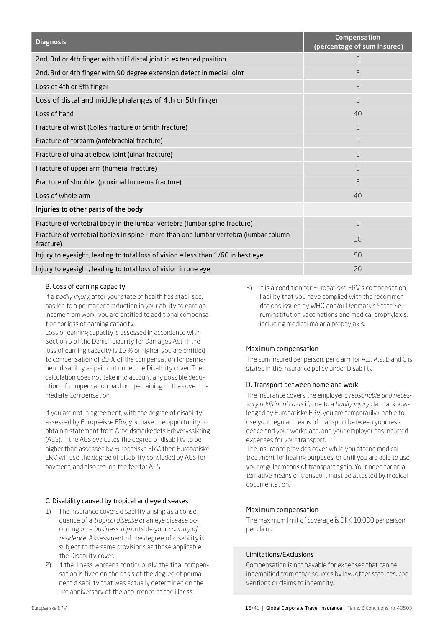| <b>Diagnosis</b>                                                                                  | Compensation<br>(percentage of sum insured) |
|---------------------------------------------------------------------------------------------------|---------------------------------------------|
| 2nd, 3rd or 4th finger with stiff distal joint in extended position                               | 5                                           |
| 2nd, 3rd or 4th finger with 90 degree extension defect in medial joint                            | 5                                           |
| Loss of 4th or 5th finger                                                                         | 5                                           |
| Loss of distal and middle phalanges of 4th or 5th finger                                          | 5                                           |
| Loss of hand                                                                                      | 40                                          |
| Fracture of wrist (Colles fracture or Smith fracture)                                             | 5                                           |
| Fracture of forearm (antebrachial fracture)                                                       | 5                                           |
| Fracture of ulna at elbow joint (ulnar fracture)                                                  | 5                                           |
| Fracture of upper arm (humeral fracture)                                                          | 5                                           |
| Fracture of shoulder (proximal humerus fracture)                                                  | 5                                           |
| Loss of whole arm                                                                                 | 40                                          |
| Injuries to other parts of the body                                                               |                                             |
| Fracture of vertebral body in the lumbar vertebra (lumbar spine fracture)                         | 5                                           |
| Fracture of vertebral bodies in spine - more than one lumbar vertebra (lumbar column<br>fracture) | 10                                          |
| Injury to eyesight, leading to total loss of vision = less than 1/60 in best eye                  | 50                                          |
| Injury to eyesight, leading to total loss of vision in one eye                                    | 20                                          |

## B. Loss of earning capacity

If a *bodily injury*, after your state of health has stabilised, has led to a permanent reduction in your ability to earn an income from work, you are entitled to additional compensation for loss of earning capacity.

Loss of earning capacity is assessed in accordance with Section 5 of the Danish Liability for Damages Act. If the loss of earning capacity is 15 % or higher, you are entitled to compensation of 25 % of the compensation for permanent disability as paid out under the Disability cover. The calculation does not take into account any possible deduction of compensation paid out pertaining to the cover Immediate Compensation.

If you are not in agreement, with the degree of disability assessed by Europæiske ERV, you have the opportunity to obtain a statement from Arbejdsmarkedets Erhvervssikring (AES). If the AES evaluates the degree of disability to be higher than assessed by Europæiske ERV, then Europæiske ERV will use the degree of disability concluded by AES for payment, and also refund the fee for AES

## C. Disability caused by tropical and eye diseases

- 1) The insurance covers disability arising as a consequence of a *tropical disease* or an eye disease occurring on a *business trip* outside your *country of residence*. Assessment of the degree of disability is subject to the same provisions as those applicable the Disability cover.
- 2) If the illness worsens continuously, the final compensation is fixed on the basis of the degree of permanent disability that was actually determined on the 3rd anniversary of the occurrence of the illness.

3) It is a condition for Europæiske ERV's compensation liability that you have complied with the recommendations issued by WHO and/or Denmark's State Seruminstitut on vaccinations and medical prophylaxis, including medical malaria prophylaxis.

## Maximum compensation

The sum insured per person, per claim for A.1, A.2, B and C is stated in the insurance policy under Disability

## D. Transport between home and work

The insurance covers the employer's *reasonable and necessary additional costs* if, due to a *bodily injury* claim acknowledged by Europæiske ERV, you are temporarily unable to use your regular means of transport between your residence and your workplace, and your employer has incurred expenses for your transport.

The insurance provides cover while you attend medical treatment for healing purposes, or until you are able to use your regular means of transport again. Your need for an alternative means of transport must be attested by medical documentation.

## Maximum compensation

The maximum limit of coverage is DKK 10,000 per person per claim.

## Limitations/Exclusions

Compensation is not payable for expenses that can be indemnified from other sources by law, other statutes, conventions or claims to indemnity.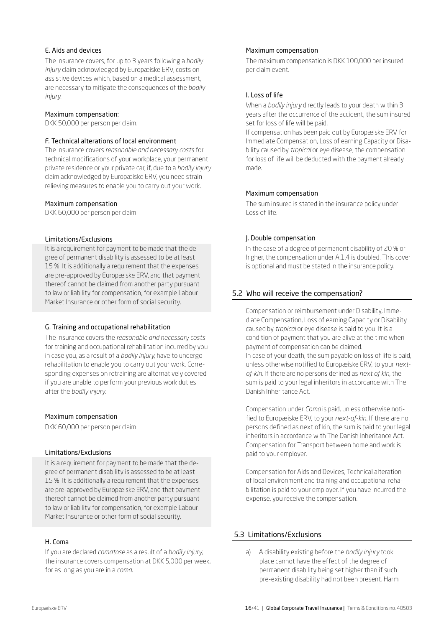## <span id="page-15-0"></span>E. Aids and devices

The insurance covers, for up to 3 years following a *bodily injury* claim acknowledged by Europæiske ERV, costs on assistive devices which, based on a medical assessment, are necessary to mitigate the consequences of the *bodily injury.*

#### Maximum compensation:

DKK 50,000 per person per claim.

## F. Technical alterations of local environment

The insurance covers *reasonable and necessary costs* for technical modifications of your workplace, your permanent private residence or your private car, if, due to a *bodily injury* claim acknowledged by Europæiske ERV, you need strainrelieving measures to enable you to carry out your work.

## Maximum compensation

DKK 60,000 per person per claim.

## Limitations/Exclusions

It is a requirement for payment to be made that the degree of permanent disability is assessed to be at least 15 %. It is additionally a requirement that the expenses are pre-approved by Europæiske ERV, and that payment thereof cannot be claimed from another party pursuant to law or liability for compensation, for example Labour Market Insurance or other form of social security.

## G. Training and occupational rehabilitation

The insurance covers the *reasonable and necessary costs* for training and occupational rehabilitation incurred by you in case you, as a result of a *bodily injury,* have to undergo rehabilitation to enable you to carry out your work. Corresponding expenses on retraining are alternatively covered if you are unable to perform your previous work duties after the *bodily injury.* 

## Maximum compensation

DKK 60,000 per person per claim.

## Limitations/Exclusions

It is a requirement for payment to be made that the degree of permanent disability is assessed to be at least 15 %. It is additionally a requirement that the expenses are pre-approved by Europæiske ERV, and that payment thereof cannot be claimed from another party pursuant to law or liability for compensation, for example Labour Market Insurance or other form of social security.

## H. Coma

If you are declared *comatose* as a result of a *bodily injury,* the insurance covers compensation at DKK 5,000 per week, for as long as you are in a *coma*.

## Maximum compensation

The maximum compensation is DKK 100,000 per insured per claim event.

## I. Loss of life

When a *bodily injury* directly leads to your death within 3 years after the occurrence of the accident, the sum insured set for loss of life will be paid.

If compensation has been paid out by Europæiske ERV for Immediate Compensation, Loss of earning Capacity or Disability caused by *tropical* or eye disease, the compensation for loss of life will be deducted with the payment already made.

## Maximum compensation

The sum insured is stated in the insurance policy under Loss of life.

## J. Double compensation

In the case of a degree of permanent disability of 20 % or higher, the compensation under A.1,4 is doubled. This cover is optional and must be stated in the insurance policy.

## 5.2 Who will receive the compensation?

Compensation or reimbursement under Disability, Immediate Compensation, Loss of earning Capacity or Disability caused by *tropical* or eye disease is paid to you. It is a condition of payment that you are alive at the time when payment of compensation can be claimed. In case of your death, the sum payable on loss of life is paid, unless otherwise notified to Europæiske ERV, to your *nextof-kin.* If there are no persons defined as *next of kin,* the sum is paid to your legal inheritors in accordance with The Danish Inheritance Act.

Compensation under *Coma* is paid, unless otherwise notified to Europæiske ERV, to your *next-of-kin.* If there are no persons defined as next of kin, the sum is paid to your legal inheritors in accordance with The Danish Inheritance Act. Compensation for Transport between home and work is paid to your employer.

Compensation for Aids and Devices, Technical alteration of local environment and training and occupational rehabilitation is paid to your employer. If you have incurred the expense, you receive the compensation.

## 5.3 Limitations/Exclusions

a) A disability existing before the *bodily injury* took place cannot have the effect of the degree of permanent disability being set higher than if such pre-existing disability had not been present. Harm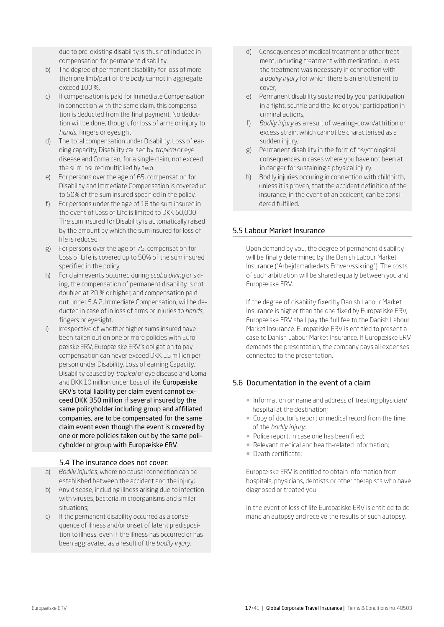<span id="page-16-0"></span>due to pre-existing disability is thus not included in compensation for permanent disability.

- b) The degree of permanent disability for loss of more than one limb/part of the body cannot in aggregate exceed 100 %.
- c) If compensation is paid for Immediate Compensation in connection with the same claim, this compensation is deducted from the final payment. No deduction will be done, though, for loss of arms or injury to *hands*, fingers or eyesight.
- d) The total compensation under Disability, Loss of earning capacity, Disability caused by *tropical* or eye disease and Coma can, for a single claim, not exceed the sum insured multiplied by two.
- e) For persons over the age of 65, compensation for Disability and Immediate Compensation is covered up to 50% of the sum insured specified in the policy.
- f) For persons under the age of 18 the sum insured in the event of Loss of Life is limited to DKK 50,000. The sum insured for Disability is automatically raised by the amount by which the sum insured for loss of life is reduced.
- g) For persons over the age of 75, compensation for Loss of Life is covered up to 50% of the sum insured specified in the policy.
- h) For claim events occurred during *scuba diving* or skiing, the compensation of permanent disability is not doubled at 20 % or higher, and compensation paid out under 5.A.2, Immediate Compensation, will be deducted in case of in loss of arms or injuries to *hands*, fingers or eyesight.
- i) Irrespective of whether higher sums insured have been taken out on one or more policies with Europæiske ERV, Europæiske ERV's obligation to pay compensation can never exceed DKK 15 million per person under Disability, Loss of earning Capacity, Disability caused by *tropical* or eye disease and Coma and DKK 10 million under Loss of life. Europæiske ERV's total liability per claim event cannot exceed DKK 350 million if several insured by the same policyholder including group and affiliated companies, are to be compensated for the same claim event even though the event is covered by one or more policies taken out by the same policyholder or group with Europæiske ERV.

## 5.4 The insurance does not cover:

- a) *Bodily injuries,* where no causal connection can be established between the accident and the injury;
- b) Any disease, including illness arising due to infection with viruses, bacteria, microorganisms and similar situations;
- c) If the permanent disability occurred as a consequence of illness and/or onset of latent predisposition to illness, even if the illness has occurred or has been aggravated as a result of the *bodily injury.*
- d) Consequences of medical treatment or other treatment, including treatment with medication, unless the treatment was necessary in connection with a *bodily injury* for which there is an entitlement to cover;
- e) Permanent disability sustained by your participation in a fight, scuffle and the like or your participation in criminal actions;
- f) *Bodily injury* as a result of wearing-down/attrition or excess strain, which cannot be characterised as a sudden injury;
- g) Permanent disability in the form of psychological consequences in cases where you have not been at in danger for sustaining a physical injury.
- h) Bodily injuries occuring in connection with childbirth, unless it is proven, that the accident definition of the insurance, in the event of an accident, can be consi dered fulfilled.

## 5.5 Labour Market Insurance

Upon demand by you, the degree of permanent disability will be finally determined by the Danish Labour Market Insurance ("Arbejdsmarkedets Erhvervssikring"). The costs of such arbitration will be shared equally between you and Europæiske ERV.

If the degree of disability fixed by Danish Labour Market Insurance is higher than the one fixed by Europæiske ERV, Europæiske ERV shall pay the full fee to the Danish Labour Market Insurance. Europæiske ERV is entitled to present a case to Danish Labour Market Insurance. If Europæiske ERV demands the presentation, the company pays all expenses connected to the presentation.

## 5.6 Documentation in the event of a claim

- ¡ Information on name and address of treating physician/ hospital at the destination;
- Copy of doctor's report or medical record from the time of the *bodily injury;*
- Police report, in case one has been filed;
- **Relevant medical and health-related information:**
- ¡ Death certificate;

Europæiske ERV is entitled to obtain information from hospitals, physicians, dentists or other therapists who have diagnosed or treated you.

In the event of loss of life Europæiske ERV is entitled to demand an autopsy and receive the results of such autopsy.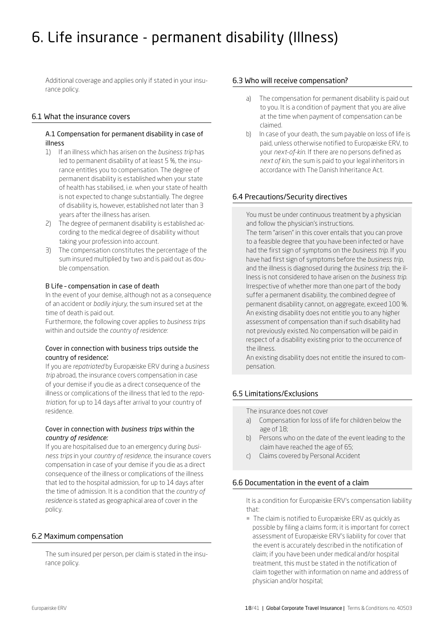# <span id="page-17-0"></span>6. Life insurance - permanent disability (Illness)

Additional coverage and applies only if stated in your insurance policy.

## 6.1 What the insurance covers

## A.1 Compensation for permanent disability in case of illness

- 1) If an illness which has arisen on the *business trip* has led to permanent disability of at least 5 %, the insurance entitles you to compensation. The degree of permanent disability is established when your state of health has stabilised, i.e. when your state of health is not expected to change substantially. The degree of disability is, however, established not later than 3 years after the illness has arisen.
- 2) The degree of permanent disability is established according to the medical degree of disability without taking your profession into account.
- 3) The compensation constitutes the percentage of the sum insured multiplied by two and is paid out as double compensation.

## B Life – compensation in case of death

In the event of your demise, although not as a consequence of an accident or *bodily injury*, the sum insured set at the time of death is paid out.

Furthermore, the following cover applies to *business trips*  within and outside the *country of residence:*

## Cover in connection with business trips outside the country of residence:

If you are *repatriated* by Europæiske ERV during a *business trip* abroad, the insurance covers compensation in case of your demise if you die as a direct consequence of the illness or complications of the illness that led to the *repatriation*, for up to 14 days after arrival to your country of residence.

## Cover in connection with *business trips* within the *country of residence:*

If you are hospitalised due to an emergency during *business trips* in your *country of residence*, the insurance covers compensation in case of your demise if you die as a direct consequence of the illness or complications of the illness that led to the hospital admission, for up to 14 days after the time of admission. It is a condition that the *country of residence* is stated as geographical area of cover in the policy.

## 6.2 Maximum compensation

The sum insured per person, per claim is stated in the insurance policy.

## 6.3 Who will receive compensation?

- a) The compensation for permanent disability is paid out to you. It is a condition of payment that you are alive at the time when payment of compensation can be claimed.
- b) In case of your death, the sum payable on loss of life is paid, unless otherwise notified to Europæiske ERV, to your *next-of-kin*. If there are no persons defined as *next of kin*, the sum is paid to your legal inheritors in accordance with The Danish Inheritance Act.

## 6.4 Precautions/Security directives

You must be under continuous treatment by a physician and follow the physician's instructions.

The term "arisen" in this cover entails that you can prove to a feasible degree that you have been infected or have had the first sign of symptoms on the *business trip*. If you have had first sign of symptoms before the *business trip*, and the illness is diagnosed during the *business trip*, the illness is not considered to have arisen on the *business trip*. Irrespective of whether more than one part of the body suffer a permanent disability, the combined degree of permanent disability cannot, on aggregate, exceed 100 %. An existing disability does not entitle you to any higher assessment of compensation than if such disability had not previously existed. No compensation will be paid in respect of a disability existing prior to the occurrence of the illness.

An existing disability does not entitle the insured to compensation.

## 6.5 Limitations/Exclusions

The insurance does not cover

- a) Compensation for loss of life for children below the age of 18;
- b) Persons who on the date of the event leading to the claim have reached the age of 65;
- c) Claims covered by Personal Accident

## 6.6 Documentation in the event of a claim

It is a condition for Europæiske ERV's compensation liability that:

¡ The claim is notified to Europæiske ERV as quickly as possible by filing a claims form; it is important for correct assessment of Europæiske ERV's liability for cover that the event is accurately described in the notification of claim; if you have been under medical and/or hospital treatment, this must be stated in the notification of claim together with information on name and address of physician and/or hospital;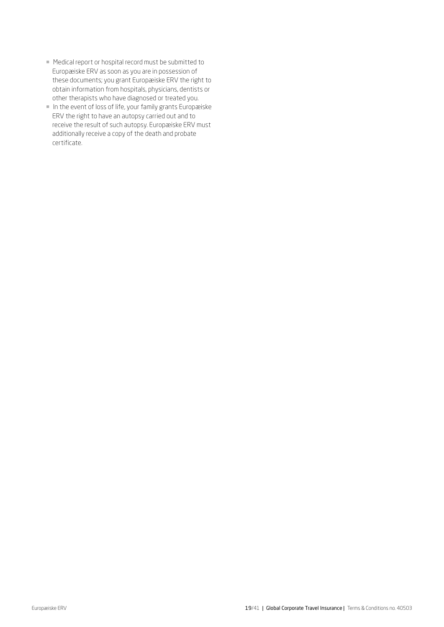- Medical report or hospital record must be submitted to Europæiske ERV as soon as you are in possession of these documents; you grant Europæiske ERV the right to obtain information from hospitals, physicians, dentists or other therapists who have diagnosed or treated you.
- ¡ In the event of loss of life, your family grants Europæiske ERV the right to have an autopsy carried out and to receive the result of such autopsy. Europæiske ERV must additionally receive a copy of the death and probate certificate.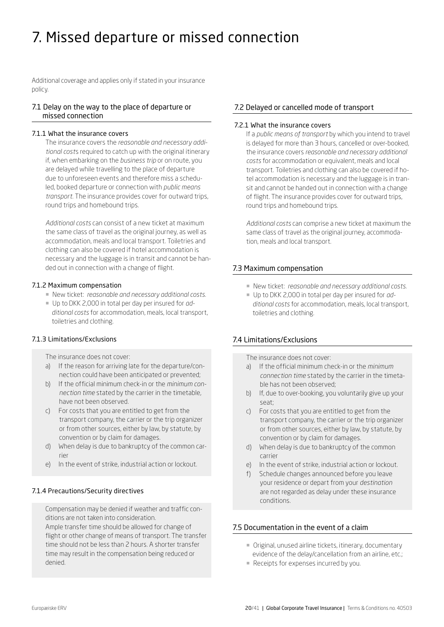## <span id="page-19-0"></span>7. Missed departure or missed connection

Additional coverage and applies only if stated in your insurance policy.

## 7.1 Delay on the way to the place of departure or missed connection

## 7.1.1 What the insurance covers

The insurance covers the *reasonable and necessary additional cost*s required to catch up with the original itinerary if, when embarking on the *business trip* or on route, you are delayed while travelling to the place of departure due to unforeseen events and therefore miss a scheduled, booked departure or connection with *public means transport*. The insurance provides cover for outward trips, round trips and homebound trips.

*Additional costs* can consist of a new ticket at maximum the same class of travel as the original journey, as well as accommodation, meals and local transport. Toiletries and clothing can also be covered if hotel accommodation is necessary and the luggage is in transit and cannot be handed out in connection with a change of flight.

## 7.1.2 Maximum compensation

- ¡ New ticket: *reasonable and necessary additional costs*.
- ¡ Up to DKK 2,000 in total per day per insured for *additional costs* for accommodation, meals, local transport, toiletries and clothing.

## 7.1.3 Limitations/Exclusions

The insurance does not cover:

- a) If the reason for arriving late for the departure/connection could have been anticipated or prevented;
- b) If the official minimum check-in or the *minimum connection time* stated by the carrier in the timetable, have not been observed.
- c) For costs that you are entitled to get from the transport company, the carrier or the trip organizer or from other sources, either by law, by statute, by convention or by claim for damages.
- d) When delay is due to bankruptcy of the common carrier
- e) In the event of strike, industrial action or lockout.

## 7.1.4 Precautions/Security directives

Compensation may be denied if weather and traffic conditions are not taken into consideration.

Ample transfer time should be allowed for change of flight or other change of means of transport. The transfer time should not be less than 2 hours. A shorter transfer time may result in the compensation being reduced or denied.

## 7.2 Delayed or cancelled mode of transport

## 7.2.1 What the insurance covers

If a *public means of transport* by which you intend to travel is delayed for more than 3 hours, cancelled or over-booked, the insurance covers *reasonable and necessary additional costs* for accommodation or equivalent, meals and local transport. Toiletries and clothing can also be covered if hotel accommodation is necessary and the luggage is in transit and cannot be handed out in connection with a change of flight. The insurance provides cover for outward trips, round trips and homebound trips.

*Additional costs* can comprise a new ticket at maximum the same class of travel as the original journey, accommodation, meals and local transport.

## 7.3 Maximum compensation

- ¡ New ticket: *reasonable and necessary additional costs.*
- ¡ Up to DKK 2,000 in total per day per insured for *additional costs* for accommodation, meals, local transport, toiletries and clothing.

## 7.4 Limitations/Exclusions

The insurance does not cover:

- a) If the official minimum check-in or the *minimum connection time* stated by the carrier in the timetable has not been observed;
- b) If, due to over-booking, you voluntarily give up your seat;
- c) For costs that you are entitled to get from the transport company, the carrier or the trip organizer or from other sources, either by law, by statute, by convention or by claim for damages.
- d) When delay is due to bankruptcy of the common carrier
- e) In the event of strike, industrial action or lockout.
- f) Schedule changes announced before you leave your residence or depart from your *destination* are not regarded as delay under these insurance conditions.

## 7.5 Documentation in the event of a claim

- ¡ Original, unused airline tickets, itinerary, documentary evidence of the delay/cancellation from an airline, etc.;
- Receipts for expenses incurred by you.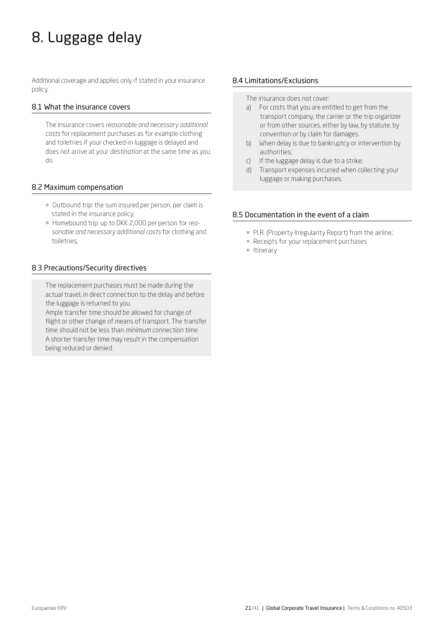# <span id="page-20-0"></span>8. Luggage delay

Additional coverage and applies only if stated in your insurance policy.

## 8.1 What the insurance covers

The insurance covers *reasonable and necessary additional costs* for replacement purchases as for example clothing and toiletries if your checked-in luggage is delayed and does not arrive at your *destination* at the same time as you do.

## 8.2 Maximum compensation

- ¡ Outbound trip: the sum insured per person, per claim is stated in the insurance policy;
- ¡ Homebound trip: up to DKK 2,000 per person for *reasonable and necessary additional costs* for clothing and toiletries;

## 8.3 Precautions/Security directives

The replacement purchases must be made during the actual travel, in direct connection to the delay and before the luggage is returned to you.

Ample transfer time should be allowed for change of flight or other change of means of transport. The transfer time should not be less than *minimum connection time*. A shorter transfer time may result in the compensation being reduced or denied.

## 8.4 Limitations/Exclusions

The insurance does not cover:

- a) For costs that you are entitled to get from the transport company, the carrier or the trip organizer or from other sources, either by law, by statute, by convention or by claim for damages.
- b) When delay is due to bankruptcy or intervention by authorities;
- c) If the luggage delay is due to a strike;
- d) Transport expenses incurred when collecting your luggage or making purchases.

## 8.5 Documentation in the event of a claim

- **PI.R. (Property Irregularity Report) from the airline;**
- Receipts for your replacement purchases
- **u** Itinerary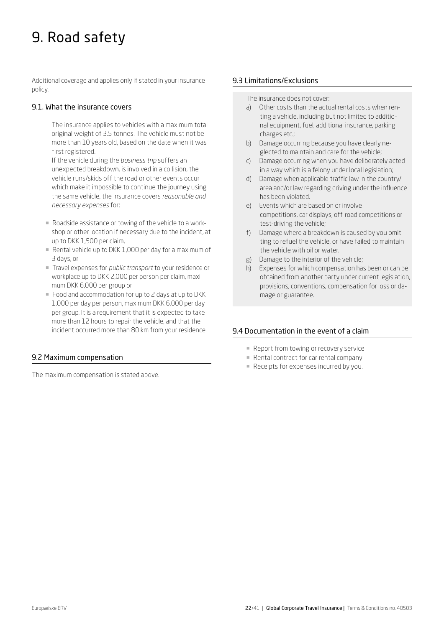## <span id="page-21-0"></span>9. Road safety

Additional coverage and applies only if stated in your insurance policy.

## 9.1. What the insurance covers

The insurance applies to vehicles with a maximum total original weight of 3.5 tonnes. The vehicle must not be more than 10 years old, based on the date when it was first registered.

If the vehicle during the *business trip* suffers an unexpected breakdown, is involved in a collision, the vehicle runs/skids off the road or other events occur which make it impossible to continue the journey using the same vehicle, the insurance covers *reasonable and necessary expenses* for:

- ¡ Roadside assistance or towing of the vehicle to a workshop or other location if necessary due to the incident, at up to DKK 1,500 per claim,
- Rental vehicle up to DKK 1,000 per day for a maximum of 3 days, or
- ¡ Travel expenses for *public transport* to your residence or workplace up to DKK 2,000 per person per claim, maximum DKK 6,000 per group or
- Food and accommodation for up to 2 days at up to DKK 1,000 per day per person, maximum DKK 6,000 per day per group. It is a requirement that it is expected to take more than 12 hours to repair the vehicle, and that the incident occurred more than 80 km from your residence.

## 9.2 Maximum compensation

The maximum compensation is stated above.

## 9.3 Limitations/Exclusions

The insurance does not cover:

- a) Other costs than the actual rental costs when renting a vehicle, including but not limited to additional equipment, fuel, additional insurance, parking charges etc.;
- b) Damage occurring because you have clearly neglected to maintain and care for the vehicle;
- c) Damage occurring when you have deliberately acted in a way which is a felony under local legislation;
- d) Damage when applicable traffic law in the country/ area and/or law regarding driving under the influence has been violated.
- e) Events which are based on or involve competitions, car displays, off-road competitions or test-driving the vehicle;
- f) Damage where a breakdown is caused by you omitting to refuel the vehicle, or have failed to maintain the vehicle with oil or water.
- g) Damage to the interior of the vehicle;
- h) Expenses for which compensation has been or can be obtained from another party under current legislation, provisions, conventions, compensation for loss or damage or guarantee.

## 9.4 Documentation in the event of a claim

- Report from towing or recovery service
- **Rental contract for car rental company**
- Receipts for expenses incurred by you.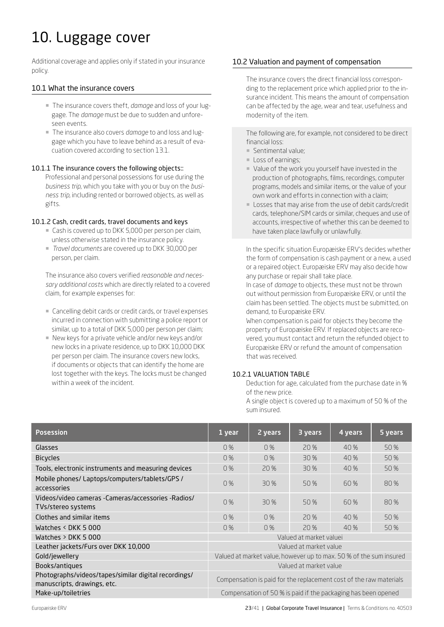# <span id="page-22-0"></span>10. Luggage cover

Additional coverage and applies only if stated in your insurance policy.

## 10.1 What the insurance covers

- ¡ The insurance covers theft, *damage* and loss of your luggage. The *damage* must be due to sudden and unforeseen events.
- ¡ The insurance also covers *damage* to and loss and luggage which you have to leave behind as a result of evacuation covered according to section 13.1.

## 10.1.1 The insurance covers the following objects::

Professional and personal possessions for use during the *business trip*, which you take with you or buy on the *business trip*, including rented or borrowed objects, as well as gifts.

## 10.1.2 Cash, credit cards, travel documents and keys

- ¡ Cash is covered up to DKK 5,000 per person per claim, unless otherwise stated in the insurance policy.
- ¡ *Travel documents* are covered up to DKK 30,000 per person, per claim.

The insurance also covers verified *reasonable and necessary additional costs* which are directly related to a covered claim, for example expenses for:

- Cancelling debit cards or credit cards, or travel expenses incurred in connection with submitting a police report or similar, up to a total of DKK 5,000 per person per claim;
- ¡ New keys for a private vehicle and/or new keys and/or new locks in a private residence, up to DKK 10,000 DKK per person per claim. The insurance covers new locks, if documents or objects that can identify the home are lost together with the keys. The locks must be changed within a week of the incident.

## 10.2 Valuation and payment of compensation

The insurance covers the direct financial loss corresponding to the replacement price which applied prior to the insurance incident. This means the amount of compensation can be affected by the age, wear and tear, usefulness and modernity of the item.

The following are, for example, not considered to be direct financial loss:

- ¡ Sentimental value;
- **Loss of earnings;**
- ¡ Value of the work you yourself have invested in the production of photographs, films, recordings, computer programs, models and similar items, or the value of your own work and efforts in connection with a claim;
- Losses that may arise from the use of debit cards/credit cards, telephone/SIM cards or similar, cheques and use of accounts, irrespective of whether this can be deemed to have taken place lawfully or unlawfully.

In the specific situation Europæiske ERV's decides whether the form of compensation is cash payment or a new, a used or a repaired object. Europæiske ERV may also decide how any purchase or repair shall take place.

In case of *damage* to objects, these must not be thrown out without permission from Europæiske ERV, or until the claim has been settled. The objects must be submitted, on demand, to Europæiske ERV.

When compensation is paid for objects they become the property of Europæiske ERV. If replaced objects are recovered, you must contact and return the refunded object to Europæiske ERV or refund the amount of compensation that was received.

## 10.2.1 VALUATION TABLE

Deduction for age, calculated from the purchase date in % of the new price.

A single object is covered up to a maximum of 50 % of the sum insured.

| <b>Posession</b>                                                                    | 1 year                                                             | 2 years | 3 years | 4 years | 5 years |
|-------------------------------------------------------------------------------------|--------------------------------------------------------------------|---------|---------|---------|---------|
| Glasses                                                                             | 0%                                                                 | 0%      | 20%     | 40 %    | 50%     |
| <b>Bicycles</b>                                                                     | 0%                                                                 | 0%      | 30 %    | 40 %    | 50 %    |
| Tools, electronic instruments and measuring devices                                 | 0%                                                                 | 20%     | 30 %    | 40 %    | 50%     |
| Mobile phones/ Laptops/computers/tablets/GPS /<br>accessories                       | 0%                                                                 | 30%     | 50%     | 60 %    | 80%     |
| Videos/video cameras - Cameras/accessories - Radios/<br>TVs/stereo systems          | 0%                                                                 | 30%     | 50%     | 60 %    | 80%     |
| Clothes and similar items                                                           | 0%                                                                 | 0%      | 20%     | 40 %    | 50 %    |
| Watches $\leq$ DKK 5 000                                                            | 0%                                                                 | 0%      | 20%     | 40 %    | 50 %    |
| Watches $>$ DKK 5 000                                                               | Valued at market valuei                                            |         |         |         |         |
| Leather jackets/Furs over DKK 10,000                                                | Valued at market value                                             |         |         |         |         |
| Gold/jewellery                                                                      | Valued at market value, however up to max. 50 % of the sum insured |         |         |         |         |
| Books/antiques                                                                      | Valued at market value                                             |         |         |         |         |
| Photographs/videos/tapes/similar digital recordings/<br>manuscripts, drawings, etc. | Compensation is paid for the replacement cost of the raw materials |         |         |         |         |
| Make-up/toiletries                                                                  | Compensation of 50 % is paid if the packaging has been opened      |         |         |         |         |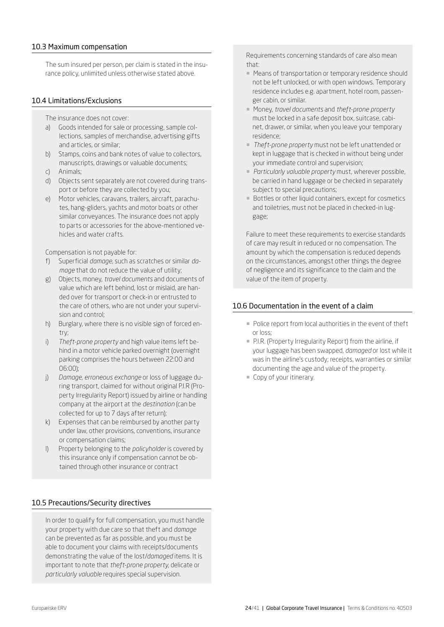## <span id="page-23-0"></span>10.3 Maximum compensation

The sum insured per person, per claim is stated in the insurance policy, unlimited unless otherwise stated above.

## 10.4 Limitations/Exclusions

- The insurance does not cover:
- a) Goods intended for sale or processing, sample collections, samples of merchandise, advertising gifts and articles, or similar;
- b) Stamps, coins and bank notes of value to collectors, manuscripts, drawings or valuable documents;
- c) Animals;
- d) Objects sent separately are not covered during transport or before they are collected by you;
- e) Motor vehicles, caravans, trailers, aircraft, parachutes, hang-gliders, yachts and motor boats or other similar conveyances. The insurance does not apply to parts or accessories for the above-mentioned vehicles and water crafts.

Compensation is not payable for:

- f) Superficial *damage*, such as scratches or similar *damage* that do not reduce the value of utility;
- g) Objects, money, *travel documents* and documents of value which are left behind, lost or mislaid, are handed over for transport or check-in or entrusted to the care of others, who are not under your supervision and control;
- h) Burglary, where there is no visible sign of forced entry;
- i) *Theft-prone property* and high value items left behind in a motor vehicle parked overnight (overnight parking comprises the hours between 22:00 and 06:00);
- j) *Damage, erroneous exchange* or loss of luggage during transport, claimed for without original P.I.R (Property Irregularity Report) issued by airline or handling company at the airport at the *destination* (can be collected for up to 7 days after return);
- k) Expenses that can be reimbursed by another party under law, other provisions, conventions, insurance or compensation claims;
- l) Property belonging to the *policyholder* is covered by this insurance only if compensation cannot be obtained through other insurance or contract

## 10.5 Precautions/Security directives

In order to qualify for full compensation, you must handle your property with due care so that theft and *damage* can be prevented as far as possible, and you must be able to document your claims with receipts/documents demonstrating the value of the lost/*damaged* items. It is important to note that *theft-prone property*, delicate or *particularly valuable* requires special supervision.

Requirements concerning standards of care also mean that:

- Means of transportation or temporary residence should not be left unlocked, or with open windows. Temporary residence includes e.g. apartment, hotel room, passenger cabin, or similar.
- ¡ Money, *travel documents* and *theft-prone property* must be locked in a safe deposit box, suitcase, cabinet, drawer, or similar, when you leave your temporary residence;
- ¡ *Theft-prone property* must not be left unattended or kept in luggage that is checked in without being under your immediate control and supervision;
- ¡ *Particularly valuable property* must, wherever possible, be carried in hand luggage or be checked in separately subject to special precautions;
- Bottles or other liquid containers, except for cosmetics and toiletries, must not be placed in checked-in luggage;

Failure to meet these requirements to exercise standards of care may result in reduced or no compensation. The amount by which the compensation is reduced depends on the circumstances, amongst other things the degree of negligence and its significance to the claim and the value of the item of property.

## 10.6 Documentation in the event of a claim

- Police report from local authorities in the event of theft or loss;
- ¡ P.I.R. (Property Irregularity Report) from the airline, if your luggage has been swapped, *damaged* or lost while it was in the airline's custody; receipts, warranties or similar documenting the age and value of the property.
- ¡ Copy of your itinerary.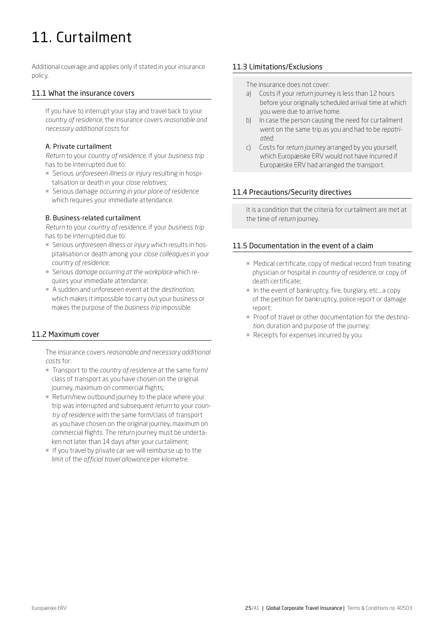# <span id="page-24-0"></span>11. Curtailment

Additional coverage and applies only if stated in your insurance policy.

## 11.1 What the insurance covers

If you have to interrupt your stay and travel back to your *country of residence*, the insurance covers *reasonable and necessary additional costs* for:

## A. Private curtailment

*Return* to your *country of residence,* if your *business trip*  has to be interrupted due to:

- ¡ Serious *unforeseen illness or injury* resulting in hospitalisation or death in your *close relatives;*
- ¡ Serious damage *occurring in your place of residence* which requires your immediate attendance.

## B. Business-related curtailment

*Return* to your *country of residence,* if your *business trip*  has to be interrupted due to:

- ¡ Serious *unforeseen illness or injury* which results in hospitalisation or death among your *close colleagues* in your *country of residence;*
- ¡ Serious *damage occurring at the workplace* which requires your immediate attendance;
- ¡ A sudden and unforeseen event at the *destination*, which makes it impossible to carry out your business or makes the purpose of the *business trip* impossible.

## 11.2 Maximum cover

The insurance covers *reasonable and necessary additional costs* for:

- ¡ Transport to the *country of residence* at the same form/ class of transport as you have chosen on the original journey, maximum on commercial flights;
- Return/new outbound journey to the place where your trip was interrupted and subsequent *return* to your *country of residence* with the same form/class of transport as you have chosen on the original journey, maximum on commercial flights. The *return* journey must be undertaken not later than 14 days after your curtailment;
- ¡ If you travel by private car we will reimburse up to the limit of the *official travel allowance* per kilometre.

## 11.3 Limitations/Exclusions

The insurance does not cover:

- a) Costs if your *return* journey is less than 12 hours before your originally scheduled arrival time at which you were due to arrive home.
- b) In case the person causing the need for curtailment went on the same trip as you and had to be *repatriated*;
- c) Costs for *return journey* arranged by you yourself, which Europæiske ERV would not have incurred if Europæiske ERV had arranged the transport.

## 11.4 Precautions/Security directives

It is a condition that the criteria for curtailment are met at the time of *return* journey.

## 11.5 Documentation in the event of a claim

- Medical certificate, copy of medical record from treating physician or hospital in *country of residence*, or copy of death certificate;
- ¡ In the event of bankruptcy, fire, burglary, etc., a copy of the petition for bankruptcy, police report or damage report;
- ¡ Proof of travel or other documentation for the *destination,* duration and purpose of the journey;
- Receipts for expenses incurred by you.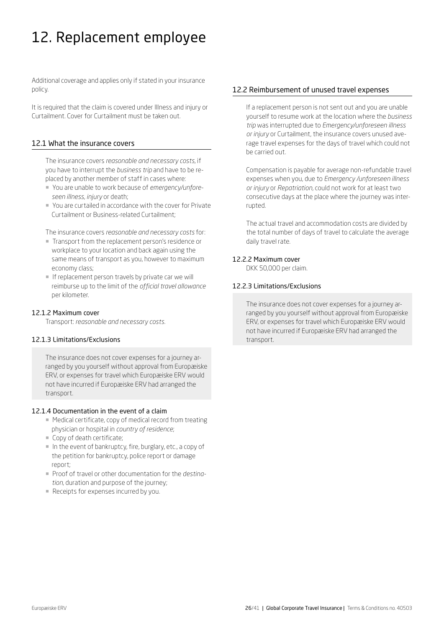# <span id="page-25-0"></span>12. Replacement employee

Additional coverage and applies only if stated in your insurance policy.

It is required that the claim is covered under Illness and injury or Curtailment. Cover for Curtailment must be taken out.

## 12.1 What the insurance covers

The insurance covers *reasonable and necessary costs,* if you have to interrupt the *business trip* and have to be replaced by another member of staff in cases where:

- ¡ You are unable to work because of *emergency/unforeseen illness, injury* or death;
- ¡ You are curtailed in accordance with the cover for Private Curtailment or Business-related Curtailment;

The insurance covers *reasonable and necessary costs* for:

- ¡ Transport from the replacement person's residence or workplace to your location and back again using the same means of transport as you, however to maximum economy class;
- **If replacement person travels by private car we will** reimburse up to the limit of the *official travel allowance* per kilometer.

## 12.1.2 Maximum cover

Transport: *reasonable and necessary costs.* 

## 12.1.3 Limitations/Exclusions

The insurance does not cover expenses for a journey arranged by you yourself without approval from Europæiske ERV, or expenses for travel which Europæiske ERV would not have incurred if Europæiske ERV had arranged the transport.

## 12.1.4 Documentation in the event of a claim

- Medical certificate, copy of medical record from treating physician or hospital in *country of residence*;
- ¡ Copy of death certificate;
- ¡ In the event of bankruptcy, fire, burglary, etc., a copy of the petition for bankruptcy, police report or damage report;
- ¡ Proof of travel or other documentation for the *destination*, duration and purpose of the journey;
- Receipts for expenses incurred by you.

## 12.2 Reimbursement of unused travel expenses

If a replacement person is not sent out and you are unable yourself to resume work at the location where the *business trip* was interrupted due to *Emergency/unforeseen illness or injury* or Curtailment, the insurance covers unused average travel expenses for the days of travel which could not be carried out.

Compensation is payable for average non-refundable travel expenses when you, due to *Emergency /unforeseen illness or injury* or *Repatriation,* could not work for at least two consecutive days at the place where the journey was interrupted.

The actual travel and accommodation costs are divided by the total number of days of travel to calculate the average daily travel rate.

## 12.2.2 Maximum cover

DKK 50,000 per claim.

## 12.2.3 Limitations/Exclusions

The insurance does not cover expenses for a journey arranged by you yourself without approval from Europæiske ERV, or expenses for travel which Europæiske ERV would not have incurred if Europæiske ERV had arranged the transport.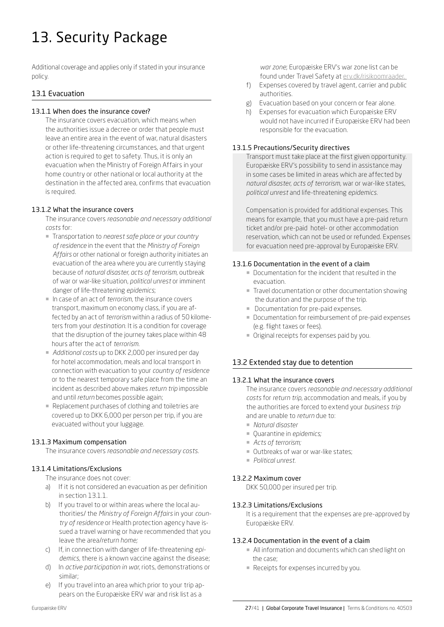# <span id="page-26-0"></span>13. Security Package

Additional coverage and applies only if stated in your insurance policy.

## 13.1 Evacuation

## 13.1.1 When does the insurance cover?

The insurance covers evacuation, which means when the authorities issue a decree or order that people must leave an entire area in the event of war, natural disasters or other life-threatening circumstances, and that urgent action is required to get to safety. Thus, it is only an evacuation when the Ministry of Foreign Affairs in your home country or other national or local authority at the destination in the affected area, confirms that evacuation is required.

## 13.1.2 What the insurance covers

The insurance covers *reasonable and necessary additional costs* for:

- ¡ Transportation to *nearest safe place or your country of residence* in the event that the *Ministry of Foreign Affairs* or other national or foreign authority initiates an evacuation of the area where you are currently staying because of *natural disaster, acts of terrorism*, outbreak of war or war-like situation, *political unrest* or imminent danger of life-threatening *epidemics*;
- ¡ In case of an act of *terrorism*, the insurance covers transport, maximum on economy class, if you are affected by an act of *terrorism* within a radius of 50 kilometers from your *destination*. It is a condition for coverage that the disruption of the journey takes place within 48 hours after the act of *terrorism.*
- ¡ *Additional costs* up to DKK 2,000 per insured per day for hotel accommodation, meals and local transport in connection with evacuation to your *country of residence* or to the nearest temporary safe place from the time an incident as described above makes *return trip* impossible and until *return* becomes possible again;
- Replacement purchases of clothing and toiletries are covered up to DKK 6,000 per person per trip, if you are evacuated without your luggage.

## 13.1.3 Maximum compensation

The insurance covers *reasonable and necessary costs.* 

## 13.1.4 Limitations/Exclusions

The insurance does not cover:

- a) If it is not considered an evacuation as per definition in section 13.1.1.
- b) If you travel to or within areas where the local authorities/ the *Ministry of Foreign Affairs* in your *country of residence* or Health protection agency have issued a travel warning or have recommended that you leave the area/*return home;*
- c) If, in connection with danger of life-threatening *epidemics*, there is a known vaccine against the disease;
- d) In *active participation in war*, riots, demonstrations or similar;
- If you travel into an area which prior to your trip appears on the Europæiske ERV war and risk list as a

*war zone*; Europæiske ERV's war zone list can be found under Travel Safety at [erv.dk/risikoomraader.](http://www.erv.dk/risikoomraader ) 

- f) Expenses covered by travel agent, carrier and public authorities.
- g) Evacuation based on your concern or fear alone.
- h) Expenses for evacuation which Europæiske ERV would not have incurred if Europæiske ERV had been responsible for the evacuation.

## 13.1.5 Precautions/Security directives

Transport must take place at the first given opportunity. Europæiske ERV's possibility to send in assistance may in some cases be limited in areas which are affected by *natural disaster*, *acts of terrorism,* war or war-like states, *political unrest* and life-threatening *epidemics*.

Compensation is provided for additional expenses. This means for example, that you must have a pre-paid return ticket and/or pre-paid hotel- or other accommodation reservation, which can not be used or refunded. Expenses for evacuation need pre-approval by Europæiske ERV.

## 13.1.6 Documentation in the event of a claim

- ¡ Documentation for the incident that resulted in the evacuation.
- ¡ Travel documentation or other documentation showing the duration and the purpose of the trip.
- **Documentation for pre-paid expenses.**
- ¡ Documentation for reimbursement of pre-paid expenses (e.g. flight taxes or fees).
- ¡ Original receipts for expenses paid by you.

## 13.2 Extended stay due to detention

## 13.2.1 What the insurance covers

The insurance covers *reasonable and necessary additional costs* for *return trip*, accommodation and meals, if you by the authorities are forced to extend your *business trip*  and are unable to *return* due to:

- ¡ *Natural disaster*
- ¡ Quarantine in *epidemics;*
- *Acts of terrorism;*
- **Outbreaks of war or war-like states;**
- ¡ *Political unrest.*

## 13.2.2 Maximum cover

DKK 50,000 per insured per trip.

## 13.2.3 Limitations/Exclusions

It is a requirement that the expenses are pre-approved by Europæiske ERV.

## 13.2.4 Documentation in the event of a claim

- ¡ All information and documents which can shed light on the case;
- Receipts for expenses incurred by you.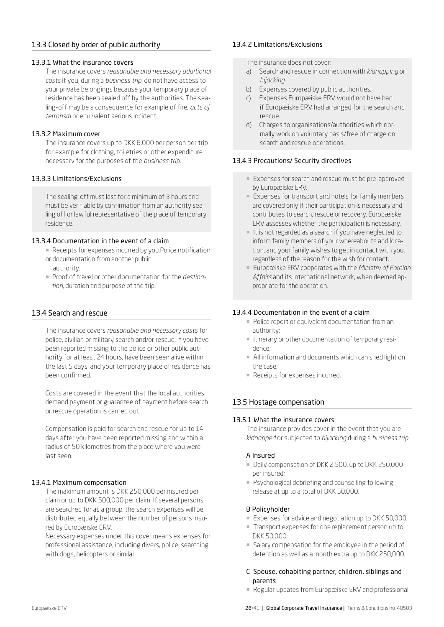## <span id="page-27-0"></span>13.3 Closed by order of public authority

## 13.3.1 What the insurance covers

The insurance covers *reasonable and necessary additional costs* if you, during a *business trip*, do not have access to your private belongings because your temporary place of residence has been sealed off by the authorities. The sealing-off may be a consequence for example of fire, *acts of terrorism* or equivalent serious incident.

## 13.3.2 Maximum cover

The insurance covers up to DKK 6,000 per person per trip for example for clothing, toiletries or other expenditure necessary for the purposes of the *business trip.* 

## 13.3.3 Limitations/Exclusions

The sealing-off must last for a minimum of 3 hours and must be verifiable by confirmation from an authority sealing off or lawful representative of the place of temporary residence.

## 13.3.4 Documentation in the event of a claim

- Receipts for expenses incurred by you.Police notification
- or documentation from another public authority.
- ¡ Proof of travel or other documentation for the *destination*, duration and purpose of the trip.

## 13.4 Search and rescue

The insurance covers *reasonable and necessary costs* for police, civilian or military search and/or rescue, if you have been reported missing to the police or other public authority for at least 24 hours, have been seen alive within the last 5 days, and your temporary place of residence has been confirmed.

Costs are covered in the event that the local authorities demand payment or guarantee of payment before search or rescue operation is carried out.

Compensation is paid for search and rescue for up to 14 days after you have been reported missing and within a radius of 50 kilometres from the place where you were last seen.

## 13.4.1 Maximum compensation

The maximum amount is DKK 250,000 per insured per claim or up to DKK 500,000 per claim. If several persons are searched for as a group, the search expenses will be distributed equally between the number of persons insured by Europæiske ERV.

Necessary expenses under this cover means expenses for professional assistance, including divers, police, searching with dogs, helicopters or similar.

## 13.4.2 Limitations/Exclusions

The insurance does not cover:

- a) Search and rescue in connection with *kidnapping* or *hijacking*.
- b) Expenses covered by public authorities;
- c) Expenses Europæiske ERV would not have had if Europæiske ERV had arranged for the search and rescue.
- d) Charges to organisations/authorities which normally work on voluntary basis/free of charge on search and rescue operations.

## 13.4.3 Precautions/ Security directives

- Expenses for search and rescue must be pre-approved by Europæiske ERV.
- Expenses for transport and hotels for family members are covered only if their participation is necessary and contributes to search, rescue or recovery. Europæiske ERV assesses whether the participation is necessary.
- ¡ It is not regarded as a search if you have neglected to inform family members of your whereabouts and location, and your family wishes to get in contact with you, regardless of the reason for the wish for contact.
- ¡ Europæiske ERV cooperates with the *Ministry of Foreign Affairs* and its international network, when deemed appropriate for the operation.

## 13.4.4 Documentation in the event of a claim

- **Police report or equivalent documentation from an** authority;
- ¡ Itinerary or other documentation of temporary residence;
- ¡ All information and documents which can shed light on the case;
- **Receipts for expenses incurred.**

## 13.5 Hostage compensation

## 13.5.1 What the insurance covers

The insurance provides cover in the event that you are *kidnapped* or subjected to *hijacking* during a *business trip.*

## A Insured

- Daily compensation of DKK 2,500, up to DKK 250,000 per insured;
- Psychological debriefing and counselling following release at up to a total of DKK 50,000.

## B Policyholder

- Expenses for advice and negotiation up to DKK 50,000;
- ¡ Transport expenses for one replacement person up to DKK 50,000;
- ¡ Salary compensation for the employee in the period of detention as well as a month extra up to DKK 250,000.
- C Spouse, cohabiting partner, children, siblings and parents
- ¡ Regular updates from Europæiske ERV and professional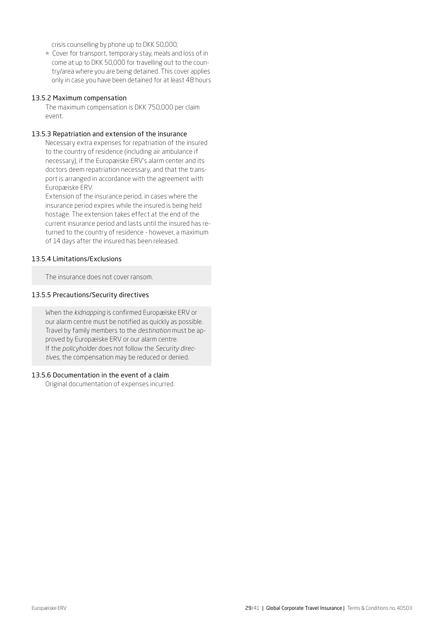crisis counselling by phone up to DKK 50,000;

¡ Cover for transport, temporary stay, meals and loss of in come at up to DKK 50,000 for travelling out to the country/area where you are being detained. This cover applies only in case you have been detained for at least 48 hours

#### 13.5.2 Maximum compensation

The maximum compensation is DKK 750,000 per claim event.

#### 13.5.3 Repatriation and extension of the insurance

Necessary extra expenses for repatriation of the insured to the country of residence (including air ambulance if necessary), if the Europæiske ERV's alarm center and its doctors deem repatriation necessary, and that the transport is arranged in accordance with the agreement with Europæiske ERV.

Extension of the insurance period, in cases where the insurance period expires while the insured is being held hostage. The extension takes effect at the end of the current insurance period and lasts until the insured has returned to the country of residence - however, a maximum of 14 days after the insured has been released.

## 13.5.4 Limitations/Exclusions

The insurance does not cover ransom.

#### 13.5.5 Precautions/Security directives

When the *kidnapping* is confirmed Europæiske ERV or our alarm centre must be notified as quickly as possible. Travel by family members to the *destination* must be approved by Europæiske ERV or our alarm centre. If the *policyholder* does not follow the *Security directives*, the compensation may be reduced or denied.

## 13.5.6 Documentation in the event of a claim

Original documentation of expenses incurred.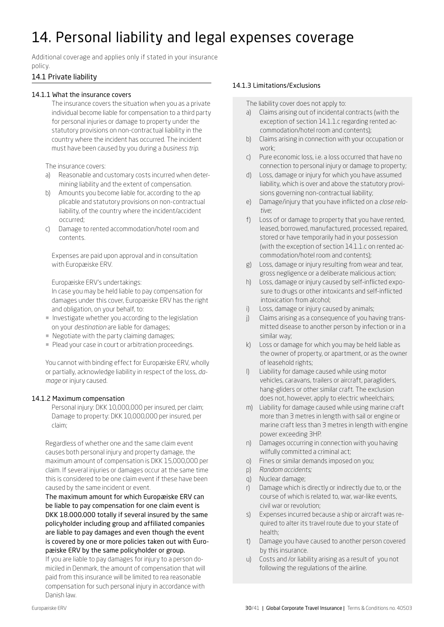# <span id="page-29-0"></span>14. Personal liability and legal expenses coverage

Additional coverage and applies only if stated in your insurance policy.

## 14.1 Private liability

## 14.1.1 What the insurance covers

The insurance covers the situation when you as a private individual become liable for compensation to a third party for personal injuries or damage to property under the statutory provisions on non-contractual liability in the country where the incident has occurred. The incident must have been caused by you during a *business trip*.

The insurance covers:

- a) Reasonable and customary costs incurred when determining liability and the extent of compensation.
- b) Amounts you become liable for, according to the ap plicable and statutory provisions on non-contractual liability, of the country where the incident/accident occurred;
- c) Damage to rented accommodation/hotel room and contents.

Expenses are paid upon approval and in consultation with Europæiske ERV.

Europæiske ERV's undertakings:

In case you may be held liable to pay compensation for damages under this cover, Europæiske ERV has the right and obligation, on your behalf, to:

- **Investigate whether you according to the legislation** on your *destination* are liable for damages;
- ¡ Negotiate with the party claiming damages;
- **Plead your case in court or arbitration proceedings.**

You cannot with binding effect for Europæiske ERV, wholly or partially, acknowledge liability in respect of the loss, *damage* or injury caused.

## 14.1.2 Maximum compensation

Personal injury: DKK 10,000,000 per insured, per claim; Damage to property: DKK 10,000,000 per insured, per claim;

Regardless of whether one and the same claim event causes both personal injury and property damage, the maximum amount of compensation is DKK 15,000,000 per claim. If several injuries or damages occur at the same time this is considered to be one claim event if these have been caused by the same incident or event.

The maximum amount for which Europæiske ERV can be liable to pay compensation for one claim event is DKK 18.000.000 totally if several insured by the same policyholder including group and affiliated companies are liable to pay damages and even though the event is covered by one or more policies taken out with Europæiske ERV by the same policyholder or group.

If you are liable to pay damages for injury to a person domiciled in Denmark, the amount of compensation that will paid from this insurance will be limited to rea reasonable compensation for such personal injury in accordance with Danish law.

## 14.1.3 Limitations/Exclusions

The liability cover does not apply to:

- a) Claims arising out of incidental contracts (with the exception of section 14.1.1.c regarding rented accommodation/hotel room and contents);
- b) Claims arising in connection with your occupation or work;
- c) Pure economic loss, i.e. a loss occurred that have no connection to personal injury or damage to property;
- d) Loss, damage or injury for which you have assumed liability, which is over and above the statutory provisions governing non-contractual liability;
- e) Damage/injury that you have inflicted on a *close relative*;
- f) Loss of or damage to property that you have rented, leased, borrowed, manufactured, processed, repaired, stored or have temporarily had in your possession (with the exception of section 14.1.1.c on rented accommodation/hotel room and contents);
- g) Loss, damage or injury resulting from wear and tear, gross negligence or a deliberate malicious action;
- h) Loss, damage or injury caused by self-inflicted expo sure to drugs or other intoxicants and self-inflicted intoxication from alcohol;
- i) Loss, damage or injury caused by animals;
- j) Claims arising as a consequence of you having transmitted disease to another person by infection or in a similar way;
- k) Loss or damage for which you may be held liable as the owner of property, or apartment, or as the owner of leasehold rights;
- Liability for damage caused while using motor vehicles, caravans, trailers or aircraft, paragliders, hang-gliders or other similar craft. The exclusion does not, however, apply to electric wheelchairs;
- m) Liability for damage caused while using marine craft more than 3 metres in length with sail or engine or marine craft less than 3 metres in length with engine power exceeding 3HP.
- n) Damages occurring in connection with you having wilfully committed a criminal act;
- o) Fines or similar demands imposed on you;
- p) *Random accidents;*
- q) Nuclear damage;
- r) Damage which is directly or indirectly due to, or the course of which is related to, war, war-like events, civil war or revolution;
- s) Expenses incurred because a ship or aircraft was required to alter its travel route due to your state of health;
- t) Damage you have caused to another person covered by this insurance.
- u) Costs and /or liability arising as a result of you not following the regulations of the airline.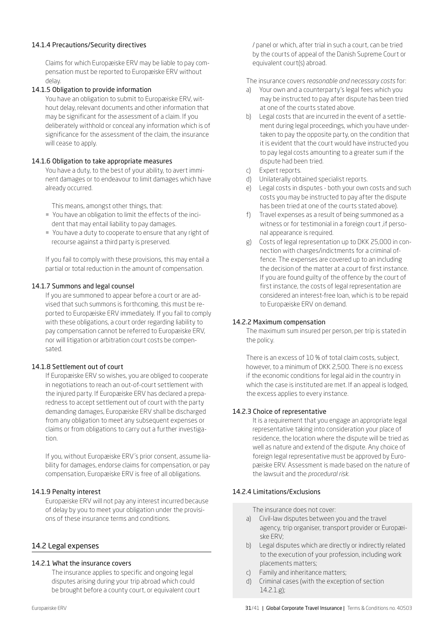## 14.1.4 Precautions/Security directives

Claims for which Europæiske ERV may be liable to pay compensation must be reported to Europæiske ERV without delay.

## 14.1.5 Obligation to provide information

You have an obligation to submit to Europæiske ERV, without delay, relevant documents and other information that may be significant for the assessment of a claim. If you deliberately withhold or conceal any information which is of significance for the assessment of the claim, the insurance will cease to apply.

## 14.1.6 Obligation to take appropriate measures

You have a duty, to the best of your ability, to avert imminent damages or to endeavour to limit damages which have already occurred.

This means, amongst other things, that:

- ¡ You have an obligation to limit the effects of the incident that may entail liability to pay damages.
- ¡ You have a duty to cooperate to ensure that any right of recourse against a third party is preserved.

If you fail to comply with these provisions, this may entail a partial or total reduction in the amount of compensation.

## 14.1.7 Summons and legal counsel

If you are summoned to appear before a court or are advised that such summons is forthcoming, this must be reported to Europæiske ERV immediately. If you fail to comply with these obligations, a court order regarding liability to pay compensation cannot be referred to Europæiske ERV, nor will litigation or arbitration court costs be compensated.

## 14.1.8 Settlement out of court

If Europæiske ERV so wishes, you are obliged to cooperate in negotiations to reach an out-of-court settlement with the injured party. If Europæiske ERV has declared a preparedness to accept settlement out of court with the party demanding damages, Europæiske ERV shall be discharged from any obligation to meet any subsequent expenses or claims or from obligations to carry out a further investigation.

If you, without Europæiske ERV´s prior consent, assume liability for damages, endorse claims for compensation, or pay compensation, Europæiske ERV is free of all obligations.

## 14.1.9 Penalty interest

Europæiske ERV will not pay any interest incurred because of delay by you to meet your obligation under the provisions of these insurance terms and conditions.

## 14.2 Legal expenses

## 14.2.1 What the insurance covers

The insurance applies to specific and ongoing legal disputes arising during your trip abroad which could be brought before a county court, or equivalent court / panel or which, after trial in such a court, can be tried by the courts of appeal of the Danish Supreme Court or equivalent court(s) abroad.

The insurance covers *reasonable and necessary costs* for:

- a) Your own and a counterparty's legal fees which you may be instructed to pay after dispute has been tried at one of the courts stated above.
- b) Legal costs that are incurred in the event of a settlement during legal proceedings, which you have undertaken to pay the opposite party, on the condition that it is evident that the court would have instructed you to pay legal costs amounting to a greater sum if the dispute had been tried.
- c) Expert reports.
- d) Unilaterally obtained specialist reports.
- e) Legal costs in disputes both your own costs and such costs you may be instructed to pay after the dispute has been tried at one of the courts stated above).
- f) Travel expenses as a result of being summoned as a witness or for testimonial in a foreign court ,if personal appearance is required.
- g) Costs of legal representation up to DKK 25,000 in connection with charges/indictments for a criminal offence. The expenses are covered up to an including the decision of the matter at a court of first instance. If you are found guilty of the offence by the court of first instance, the costs of legal representation are considered an interest-free loan, which is to be repaid to Europæiske ERV on demand.

## 14.2.2 Maximum compensation

The maximum sum insured per person, per trip is stated in the policy.

There is an excess of 10 % of total claim costs, subject, however, to a minimum of DKK 2,500. There is no excess if the economic conditions for legal aid in the country in which the case is instituted are met. If an appeal is lodged, the excess applies to every instance.

## 14.2.3 Choice of representative

It is a requirement that you engage an appropriate legal representative taking into consideration your place of residence, the location where the dispute will be tried as well as nature and extend of the dispute. Any choice of foreign legal representative must be approved by Europæiske ERV. Assessment is made based on the nature of the lawsuit and the *procedural risk.* 

## 14.2.4 Limitations/Exclusions

The insurance does not cover:

- a) Civil-law disputes between you and the travel agency, trip organiser, transport provider or Europæiske ERV;
- b) Legal disputes which are directly or indirectly related to the execution of your profession, including work placements matters;
- c) Family and inheritance matters;
- d) Criminal cases (with the exception of section 14.2.1.g);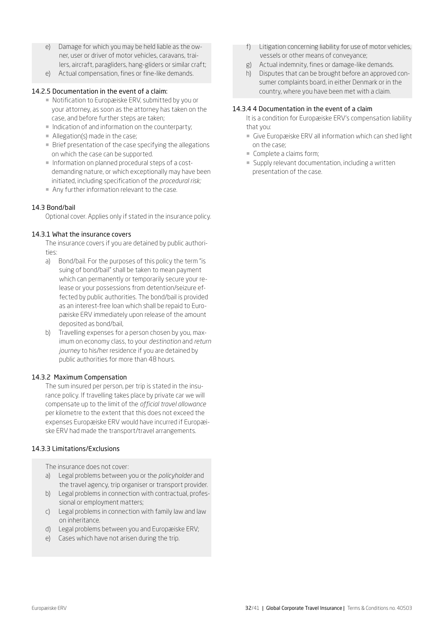- e) Damage for which you may be held liable as the owner, user or driver of motor vehicles, caravans, trailers, aircraft, paragliders, hang-gliders or similar craft;
- e) Actual compensation, fines or fine-like demands.

## 14.2.5 Documentation in the event of a claim:

- Notification to Europæiske ERV, submitted by you or your attorney, as soon as the attorney has taken on the case, and before further steps are taken;
- **Indication of and information on the counterparty;**
- $\blacksquare$  Allegation(s) made in the case:
- ¡ Brief presentation of the case specifying the allegations on which the case can be supported.
- ¡ Information on planned procedural steps of a costdemanding nature, or which exceptionally may have been initiated, including specification of the *procedural risk;*
- Any further information relevant to the case.

## 14.3 Bond/bail

Optional cover. Applies only if stated in the insurance policy.

## 14.3.1 What the insurance covers

The insurance covers if you are detained by public authorities:

- a) Bond/bail. For the purposes of this policy the term "is suing of bond/bail" shall be taken to mean payment which can permanently or temporarily secure your release or your possessions from detention/seizure effected by public authorities. The bond/bail is provided as an interest-free loan which shall be repaid to Europæiske ERV immediately upon release of the amount deposited as bond/bail,
- b) Travelling expenses for a person chosen by you, maximum on economy class, to your *destination* and *return journey* to his/her residence if you are detained by public authorities for more than 48 hours.

## 14.3.2 Maximum Compensation

The sum insured per person, per trip is stated in the insurance policy. If travelling takes place by private car we will compensate up to the limit of the *official travel allowance* per kilometre to the extent that this does not exceed the expenses Europæiske ERV would have incurred if Europæiske ERV had made the transport/travel arrangements.

## 14.3.3 Limitations/Exclusions

The insurance does not cover:

- a) Legal problems between you or the *policyholder* and the travel agency, trip organiser or transport provider.
- b) Legal problems in connection with contractual, professional or employment matters;
- c) Legal problems in connection with family law and law on inheritance.
- d) Legal problems between you and Europæiske ERV;
- e) Cases which have not arisen during the trip.
- f) Litigation concerning liability for use of motor vehicles, vessels or other means of conveyance;
- g) Actual indemnity, fines or damage-like demands.
- h) Disputes that can be brought before an approved con sumer complaints board, in either Denmark or in the country, where you have been met with a claim.

## 14.3.4 4 Documentation in the event of a claim

- It is a condition for Europæiske ERV's compensation liability that you:
- $\blacksquare$  Give Europæiske ERV all information which can shed light on the case;
- ¡ Complete a claims form;
- Supply relevant documentation, including a written presentation of the case.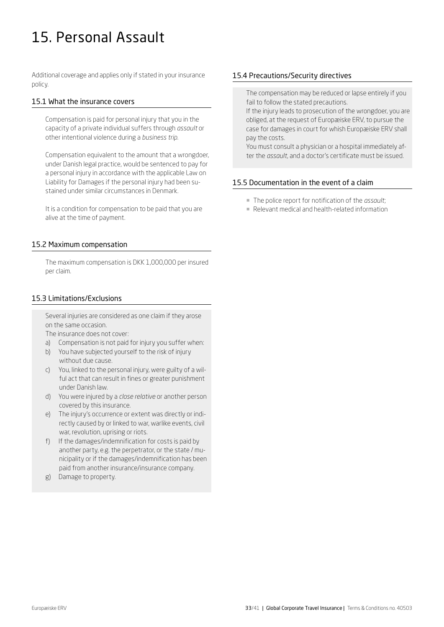# <span id="page-32-0"></span>15. Personal Assault

Additional coverage and applies only if stated in your insurance policy.

## 15.1 What the insurance covers

Compensation is paid for personal injury that you in the capacity of a private individual suffers through *assault* or other intentional violence during a *business trip.* 

Compensation equivalent to the amount that a wrongdoer, under Danish legal practice, would be sentenced to pay for a personal injury in accordance with the applicable Law on Liability for Damages if the personal injury had been sustained under similar circumstances in Denmark.

It is a condition for compensation to be paid that you are alive at the time of payment.

## 15.2 Maximum compensation

The maximum compensation is DKK 1,000,000 per insured per claim.

## 15.3 Limitations/Exclusions

Several injuries are considered as one claim if they arose on the same occasion.

The insurance does not cover:

- a) Compensation is not paid for injury you suffer when:
- b) You have subjected yourself to the risk of injury without due cause.
- c) You, linked to the personal injury, were guilty of a wilful act that can result in fines or greater punishment under Danish law.
- d) You were injured by a *close relative* or another person covered by this insurance.
- e) The injury's occurrence or extent was directly or indirectly caused by or linked to war, warlike events, civil war, revolution, uprising or riots.
- f) If the damages/indemnification for costs is paid by another party, e.g. the perpetrator, or the state / municipality or if the damages/indemnification has been paid from another insurance/insurance company.
- g) Damage to property.

## 15.4 Precautions/Security directives

The compensation may be reduced or lapse entirely if you fail to follow the stated precautions.

If the injury leads to prosecution of the wrongdoer, you are obliged, at the request of Europæiske ERV, to pursue the case for damages in court for whish Europæiske ERV shall pay the costs.

You must consult a physician or a hospital immediately after the *assault*, and a doctor's certificate must be issued.

## 15.5 Documentation in the event of a claim

- ¡ The police report for notification of the *assault*;
- ¡ Relevant medical and health-related information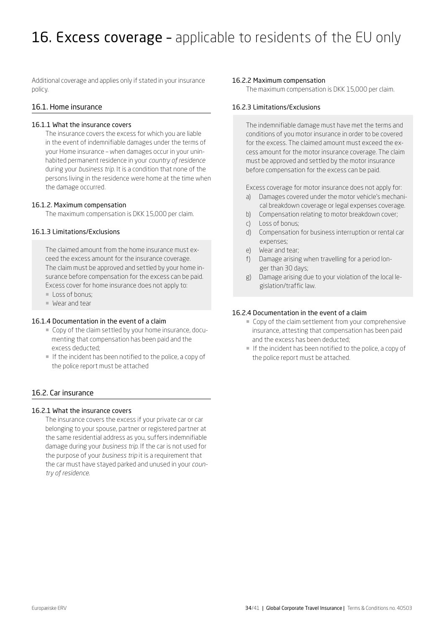<span id="page-33-0"></span>Additional coverage and applies only if stated in your insurance policy.

## 16.1. Home insurance

## 16.1.1 What the insurance covers

The insurance covers the excess for which you are liable in the event of indemnifiable damages under the terms of your Home insurance – when damages occur in your uninhabited permanent residence in your *country of residence*  during your *business trip*. It is a condition that none of the persons living in the residence were home at the time when the damage occurred.

## 16.1.2. Maximum compensation

The maximum compensation is DKK 15,000 per claim.

## 16.1.3 Limitations/Exclusions

The claimed amount from the home insurance must exceed the excess amount for the insurance coverage. The claim must be approved and settled by your home insurance before compensation for the excess can be paid. Excess cover for home insurance does not apply to:

- **Loss of bonus;**
- ¡ Wear and tear

## 16.1.4 Documentation in the event of a claim

- ¡ Copy of the claim settled by your home insurance, documenting that compensation has been paid and the excess deducted;
- ¡ If the incident has been notified to the police, a copy of the police report must be attached

## 16.2. Car insurance

## 16.2.1 What the insurance covers

The insurance covers the excess if your private car or car belonging to your spouse, partner or registered partner at the same residential address as you, suffers indemnifiable damage during your *business trip*. If the car is not used for the purpose of your *business trip* it is a requirement that the car must have stayed parked and unused in your *country of residence.* 

## 16.2.2 Maximum compensation

The maximum compensation is DKK 15,000 per claim.

## 16.2.3 Limitations/Exclusions

The indemnifiable damage must have met the terms and conditions of you motor insurance in order to be covered for the excess. The claimed amount must exceed the excess amount for the motor insurance coverage. The claim must be approved and settled by the motor insurance before compensation for the excess can be paid.

Excess coverage for motor insurance does not apply for:

- a) Damages covered under the motor vehicle's mechanical breakdown coverage or legal expenses coverage.
- b) Compensation relating to motor breakdown cover;
- c) Loss of bonus;
- d) Compensation for business interruption or rental car expenses;
- e) Wear and tear;
- f) Damage arising when travelling for a period longer than 30 days;
- Damage arising due to your violation of the local legislation/traffic law.

## 16.2.4 Documentation in the event of a claim

- ¡ Copy of the claim settlement from your comprehensive insurance, attesting that compensation has been paid and the excess has been deducted;
- $\blacksquare$  If the incident has been notified to the police, a copy of the police report must be attached.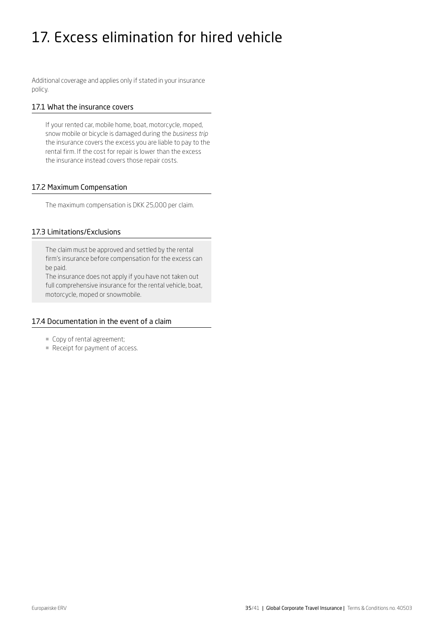# <span id="page-34-0"></span>17. Excess elimination for hired vehicle

Additional coverage and applies only if stated in your insurance policy.

## 17.1 What the insurance covers

If your rented car, mobile home, boat, motorcycle, moped, snow mobile or bicycle is damaged during the *business trip* the insurance covers the excess you are liable to pay to the rental firm. If the cost for repair is lower than the excess the insurance instead covers those repair costs.

## 17.2 Maximum Compensation

The maximum compensation is DKK 25,000 per claim.

## 17.3 Limitations/Exclusions

The claim must be approved and settled by the rental firm's insurance before compensation for the excess can be paid.

The insurance does not apply if you have not taken out full comprehensive insurance for the rental vehicle, boat, motorcycle, moped or snowmobile.

## 17.4 Documentation in the event of a claim

- ¡ Copy of rental agreement;
- **Receipt for payment of access.**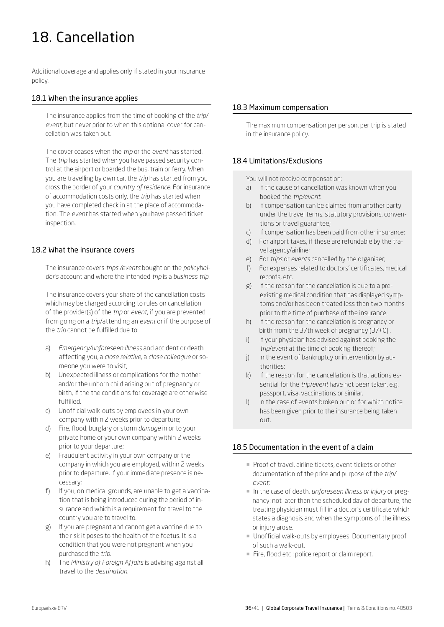# <span id="page-35-0"></span>18. Cancellation

Additional coverage and applies only if stated in your insurance policy.

## 18.1 When the insurance applies

The insurance applies from the time of booking of the *trip/ event*, but never prior to when this optional cover for cancellation was taken out.

The cover ceases when the *trip* or the *event* has started. The *trip* has started when you have passed security control at the airport or boarded the bus, train or ferry. When you are travelling by own car, the *trip* has started from you cross the border of your *country of residence*. For insurance of accommodation costs only, the *trip* has started when you have completed check in at the place of accommodation. The *event* has started when you have passed ticket inspection.

## 18.2 What the insurance covers

The insurance covers *trips /events* bought on the *policyholder's* account and where the intended *trip* is a *business trip.*

The insurance covers your share of the cancellation costs which may be charged according to rules on cancellation of the provider(s) of the *trip* or *event*, if you are prevented from going on a *trip*/attending an *event* or if the purpose of the *trip* cannot be fulfilled due to:

- a) *Emergency/unforeseen illness* and accident or death affecting you, a *close relative*, a *close colleague* or someone you were to visit;
- b) Unexpected illness or complications for the mother and/or the unborn child arising out of pregnancy or birth, if the the conditions for coverage are otherwise fulfilled.
- c) Unofficial walk-outs by employees in your own company within 2 weeks prior to departure;
- d) Fire, flood, burglary or storm *damage* in or to your private home or your own company within 2 weeks prior to your departure;
- e) Fraudulent activity in your own company or the company in which you are employed, within 2 weeks prior to departure, if your immediate presence is necessary;
- f) If you, on medical grounds, are unable to get a vaccination that is being introduced during the period of insurance and which is a requirement for travel to the country you are to travel to.
- g) If you are pregnant and cannot get a vaccine due to the risk it poses to the health of the foetus. It is a condition that you were not pregnant when you purchased the *trip*.
- h) The *Ministry of Foreign Affairs* is advising against all travel to the *destination*.

## 18.3 Maximum compensation

The maximum compensation per person, per trip is stated in the insurance policy.

## 18.4 Limitations/Exclusions

You will not receive compensation:

- a) If the cause of cancellation was known when you booked the *trip/event.*
- b) If compensation can be claimed from another party under the travel terms, statutory provisions, conventions or travel guarantee;
- c) If compensation has been paid from other insurance;
- d) For airport taxes, if these are refundable by the travel agency/airline;
- e) For *trips* or *events* cancelled by the organiser;
- f) For expenses related to doctors' certificates, medical records, etc.
- g) If the reason for the cancellation is due to a preexisting medical condition that has displayed symptoms and/or has been treated less than two months prior to the time of purchase of the insurance.
- h) If the reason for the cancellation is pregnancy or birth from the 37th week of pregnancy (37+0) .
- i) If your physician has advised against booking the *trip*/*event* at the time of booking thereof;
- j) In the event of bankruptcy or intervention by authorities;
- k) If the reason for the cancellation is that actions essential for the *trip*/*event* have not been taken, e.g. passport, visa, vaccinations or similar.
- I) In the case of events broken out or for which notice has been given prior to the insurance being taken out.

## 18.5 Documentation in the event of a claim

- ¡ Proof of travel, airline tickets, event tickets or other documentation of the price and purpose of the *trip/ event;*
- ¡ In the case of death, *unforeseen illness or injury* or pregnancy: not later than the scheduled day of departure, the treating physician must fill in a doctor's certificate which states a diagnosis and when the symptoms of the illness or injury arose.
- ¡ Unofficial walk-outs by employees: Documentary proof of such a walk-out.
- **Fire, flood etc.: police report or claim report.**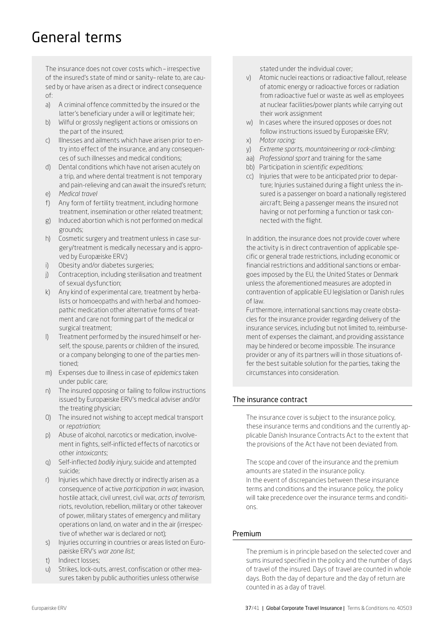## <span id="page-36-0"></span>General terms

The insurance does not cover costs which – irrespective of the insured's state of mind or sanity– relate to, are caused by or have arisen as a direct or indirect consequence of:

- a) A criminal offence committed by the insured or the latter's beneficiary under a will or legitimate heir;
- b) Wilful or grossly negligent actions or omissions on the part of the insured;
- c) Illnesses and ailments which have arisen prior to entry into effect of the insurance, and any consequences of such illnesses and medical conditions;
- d) Dental conditions which have not arisen acutely on a trip, and where dental treatment is not temporary and pain-relieving and can await the insured's return; e) *Medical travel*
- 
- f) Any form of fertility treatment, including hormone treatment, insemination or other related treatment;
- g) Induced abortion which is not performed on medical grounds;
- h) Cosmetic surgery and treatment unless in case surgery/treatment is medically necessary and is approved by Europæiske ERV;)
- i) Obesity and/or diabetes surgeries;
- j) Contraception, including sterilisation and treatment of sexual dysfunction;
- k) Any kind of experimental care, treatment by herbalists or homoeopaths and with herbal and homoeopathic medication other alternative forms of treatment and care not forming part of the medical or surgical treatment;
- l) Treatment performed by the insured himself or herself, the spouse, parents or children of the insured, or a company belonging to one of the parties mentioned;
- m) Expenses due to illness in case of *epidemics* taken under public care;
- n) The insured opposing or failing to follow instructions issued by Europæiske ERV's medical adviser and/or the treating physician;
- 0) The insured not wishing to accept medical transport or *repatriation*;
- p) Abuse of alcohol, narcotics or medication, involvement in fights, self-inflicted effects of narcotics or other *intoxicants*;
- q) Self-inflected *bodily injury*, suicide and attempted suicide;
- r) Injuries which have directly or indirectly arisen as a consequence of active *participation in war*, invasion, hostile attack, civil unrest, civil war, *acts of terrorism*, riots, revolution, rebellion, military or other takeover of power, military states of emergency and military operations on land, on water and in the air (irrespective of whether war is declared or not);
- s) Injuries occurring in countries or areas listed on Europæiske ERV's *war zone list*;
- t) Indirect losses;
- u) Strikes, lock-outs, arrest, confiscation or other measures taken by public authorities unless otherwise

stated under the individual cover;

- v) Atomic nuclei reactions or radioactive fallout, release of atomic energy or radioactive forces or radiation from radioactive fuel or waste as well as employees at nuclear facilities/power plants while carrying out their work assignment
- w) In cases where the insured opposes or does not follow instructions issued by Europæiske ERV;
- x) *Motor racing;*
- y) *Extreme sports, mountaineering or rock-climbing;*
- aa) *Professional sport* and training for the same
- bb) Participation in *scientific expeditions;*
- cc) Injuries that were to be anticipated prior to departure; Injuries sustained during a flight unless the insured is a passenger on board a nationally registered aircraft; Being a passenger means the insured not having or not performing a function or task connected with the flight.

In addition, the insurance does not provide cover where the activity is in direct contravention of applicable specific or general trade restrictions, including economic or financial restrictions and additional sanctions or embargoes imposed by the EU, the United States or Denmark unless the aforementioned measures are adopted in contravention of applicable EU legislation or Danish rules of law.

Furthermore, international sanctions may create obstacles for the insurance provider regarding delivery of the insurance services, including but not limited to, reimbursement of expenses the claimant, and providing assistance may be hindered or become impossible. The insurance provider or any of its partners will in those situations offer the best suitable solution for the parties, taking the circumstances into consideration.

## The insurance contract

The insurance cover is subject to the insurance policy, these insurance terms and conditions and the currently applicable Danish Insurance Contracts Act to the extent that the provisions of the Act have not been deviated from.

The scope and cover of the insurance and the premium amounts are stated in the insurance policy. In the event of discrepancies between these insurance terms and conditions and the insurance policy, the policy will take precedence over the insurance terms and conditions.

## Premium

The premium is in principle based on the selected cover and sums insured specified in the policy and the number of days of travel of the insured. Days of travel are counted in whole days. Both the day of departure and the day of return are counted in as a day of travel.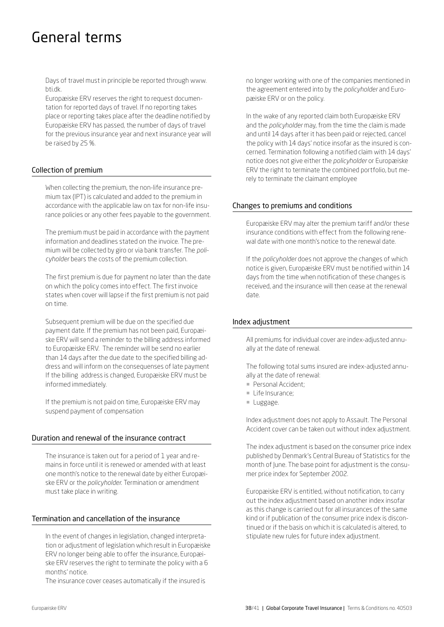## General terms

Days of travel must in principle be reported through www. bti.dk.

Europæiske ERV reserves the right to request documentation for reported days of travel. If no reporting takes place or reporting takes place after the deadline notified by Europæiske ERV has passed, the number of days of travel for the previous insurance year and next insurance year will be raised by 25 %.

## Collection of premium

When collecting the premium, the non-life insurance premium tax (IPT) is calculated and added to the premium in accordance with the applicable law on tax for non-life insurance policies or any other fees payable to the government.

The premium must be paid in accordance with the payment information and deadlines stated on the invoice. The premium will be collected by giro or via bank transfer. The *policyholder* bears the costs of the premium collection.

The first premium is due for payment no later than the date on which the policy comes into effect. The first invoice states when cover will lapse if the first premium is not paid on time.

Subsequent premium will be due on the specified due payment date. If the premium has not been paid, Europæiske ERV will send a reminder to the billing address informed to Europæiske ERV. The reminder will be send no earlier than 14 days after the due date to the specified billing address and will inform on the consequenses of late payment If the billing address is changed, Europæiske ERV must be informed immediately.

If the premium is not paid on time, Europæiske ERV may suspend payment of compensation

## Duration and renewal of the insurance contract

The insurance is taken out for a period of 1 year and remains in force until it is renewed or amended with at least one month's notice to the renewal date by either Europæiske ERV or the *policyholder*. Termination or amendment must take place in writing.

## Termination and cancellation of the insurance

In the event of changes in legislation, changed interpretation or adjustment of legislation which result in Europæiske ERV no longer being able to offer the insurance, Europæiske ERV reserves the right to terminate the policy with a 6 months' notice.

The insurance cover ceases automatically if the insured is

no longer working with one of the companies mentioned in the agreement entered into by the *policyholder* and Europæiske ERV or on the policy.

In the wake of any reported claim both Europæiske ERV and the *policyholder* may, from the time the claim is made and until 14 days after it has been paid or rejected, cancel the policy with 14 days' notice insofar as the insured is concerned. Termination following a notified claim with 14 days' notice does not give either the *policyholder* or Europæiske ERV the right to terminate the combined portfolio, but merely to terminate the claimant employee

## Changes to premiums and conditions

Europæiske ERV may alter the premium tariff and/or these insurance conditions with effect from the following renewal date with one month's notice to the renewal date.

If the *policyholder* does not approve the changes of which notice is given, Europæiske ERV must be notified within 14 days from the time when notification of these changes is received, and the insurance will then cease at the renewal date.

## Index adjustment

All premiums for individual cover are index-adjusted annually at the date of renewal.

The following total sums insured are index-adjusted annually at the date of renewal:

- **Personal Accident:**
- **Life Insurance;**
- ¡ Luggage.

Index adjustment does not apply to Assault. The Personal Accident cover can be taken out without index adjustment.

The index adjustment is based on the consumer price index published by Denmark's Central Bureau of Statistics for the month of June. The base point for adjustment is the consumer price index for September 2002.

Europæiske ERV is entitled, without notification, to carry out the index adjustment based on another index insofar as this change is carried out for all insurances of the same kind or if publication of the consumer price index is discontinued or if the basis on which it is calculated is altered, to stipulate new rules for future index adjustment.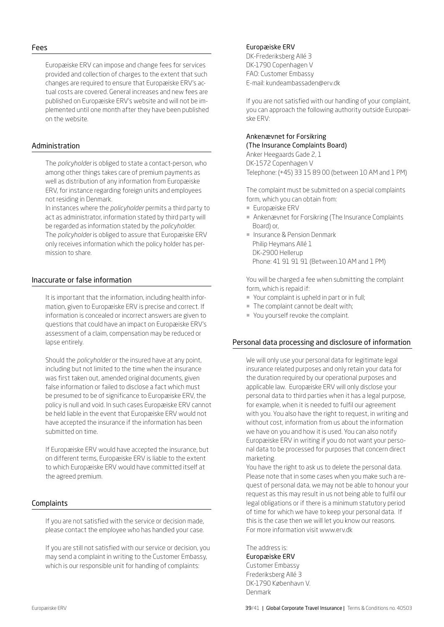#### Fees

Europæiske ERV can impose and change fees for services provided and collection of charges to the extent that such changes are required to ensure that Europæiske ERV's actual costs are covered. General increases and new fees are published on Europæiske ERV's website and will not be implemented until one month after they have been published on the website.

## Administration

The *policyholder* is obliged to state a contact-person, who among other things takes care of premium payments as well as distribution of any information from Europæiske ERV, for instance regarding foreign units and employees not residing in Denmark.

In instances where the *policyholder* permits a third party to act as administrator, information stated by third party will be regarded as information stated by the *policyholder*. The *policyholder* is obliged to assure that Europæiske ERV only receives information which the policy holder has permission to share.

## Inaccurate or false information

It is important that the information, including health information, given to Europæiske ERV is precise and correct. If information is concealed or incorrect answers are given to questions that could have an impact on Europæiske ERV's assessment of a claim, compensation may be reduced or lapse entirely.

Should the *policyholder* or the insured have at any point, including but not limited to the time when the insurance was first taken out, amended original documents, given false information or failed to disclose a fact which must be presumed to be of significance to Europæiske ERV, the policy is null and void. In such cases Europæiske ERV cannot be held liable in the event that Europæiske ERV would not have accepted the insurance if the information has been submitted on time.

If Europæiske ERV would have accepted the insurance, but on different terms, Europæiske ERV is liable to the extent to which Europæiske ERV would have committed itself at the agreed premium.

## **Complaints**

If you are not satisfied with the service or decision made, please contact the employee who has handled your case.

If you are still not satisfied with our service or decision, you may send a complaint in writing to the Customer Embassy, which is our responsible unit for handling of complaints:

## Europæiske ERV

DK-Frederiksberg Allé 3 DK-1790 Copenhagen V FAO: Customer Embassy E-mail: kundeambassaden@erv.dk

If you are not satisfied with our handling of your complaint, you can approach the following authority outside Europæiske ERV:

## Ankenævnet for Forsikring (The Insurance Complaints Board)

Anker Heegaards Gade 2, 1 DK-1572 Copenhagen V Telephone: (+45) 33 15 89 00 (between 10 AM and 1 PM)

The complaint must be submitted on a special complaints form, which you can obtain from:

- ¡ Europæiske ERV
- ¡ Ankenævnet for Forsikring (The Insurance Complaints Board) or,
- **E** Insurance & Pension Denmark Philip Heymans Allé 1 DK-2900 Hellerup Phone: 41 91 91 91 (Between.10 AM and 1 PM)

You will be charged a fee when submitting the complaint form, which is repaid if:

- ¡ Your complaint is upheld in part or in full;
- The complaint cannot be dealt with;
- ¡ You yourself revoke the complaint.

## Personal data processing and disclosure of information

We will only use your personal data for legitimate legal insurance related purposes and only retain your data for the duration required by our operational purposes and applicable law. Europæiske ERV will only disclose your personal data to third parties when it has a legal purpose, for example, when it is needed to fulfil our agreement with you. You also have the right to request, in writing and without cost, information from us about the information we have on you and how it is used. You can also notify Europæiske ERV in writing if you do not want your personal data to be processed for purposes that concern direct marketing.

You have the right to ask us to delete the personal data. Please note that in some cases when you make such a request of personal data, we may not be able to honour your request as this may result in us not being able to fulfil our legal obligations or if there is a minimum statutory period of time for which we have to keep your personal data. If this is the case then we will let you know our reasons. For more information visit www.erv.dk

The address is:

Europæiske ERV Customer Embassy Frederiksberg Allé 3 DK-1790 København V. Denmark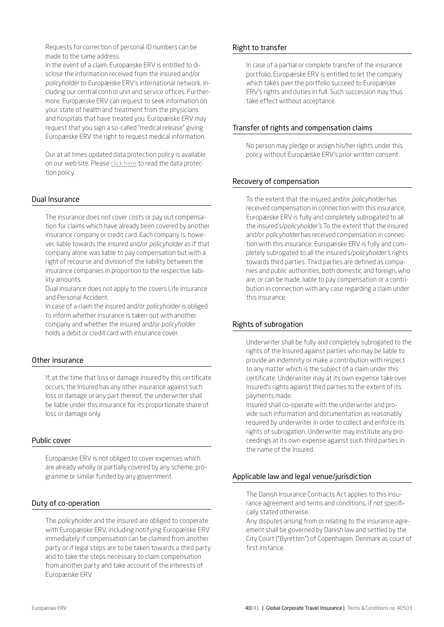Requests for correction of personal ID numbers can be made to the same address.

In the event of a claim, Europæiske ERV is entitled to disclose the information received from the insured and/or *policyholder* to Europæiske ERV's international network, including our central control unit and service offices. Furthermore, Europæiske ERV can request to seek information on your state of health and treatment from the physicians and hospitals that have treated you. Europæiske ERV may request that you sign a so-called "medical release" giving Europæiske ERV the right to request medical information.

Our at all times updated data protection policy is available on our web site. Please [click here](https://www.europaeiske.dk/privat/kundeservice/english/data-protection-policy/) to read the data protection policy.

## Dual Insurance

The insurance does not cover costs or pay out compensation for claims which have already been covered by another insurance company or credit card. Each company is, however, liable towards the insured and/or *policyholder* as if that company alone was liable to pay compensation but with a right of recourse and division of the liability between the insurance companies in proportion to the respective liability amounts.

Dual insurance does not apply to the covers Life Insurance and Personal Accident.

In case of a claim the insured and/or *policyholder* is obliged to inform whether insurance is taken out with another company and whether the insured and/or *policyholder* holds a debit or credit card with insurance cover.

## Other insurance

If, at the time that loss or damage insured by this certificate occurs, the Insured has any other insurance against such loss or damage or any part thereof, the underwriter shall be liable under this insurance for its proportionate share of loss or damage only.

## Public cover

Europæiske ERV is not obliged to cover expenses which are already wholly or partially covered by any scheme, programme or similar funded by any government.

## Duty of co-operation

The *policyholder* and the insured are obliged to cooperate with Europæiske ERV, including notifying Europæiske ERV immediately if compensation can be claimed from another party or if legal steps are to be taken towards a third party and to take the steps necessary to claim compensation from another party and take account of the interests of Europæiske ERV

## Right to transfer

In case of a partial or complete transfer of the insurance portfolio, Europæiske ERV is entitled to let the company which takes over the portfolio succeed to Europæiske ERV's rights and duties in full. Such succession may thus take effect without acceptance.

## Transfer of rights and compensation claims

No person may pledge or assign his/her rights under this policy without Europæiske ERV's prior written consent.

## Recovery of compensation

To the extent that the insured and/or *policyholder* has received compensation in connection with this insurance, Europæiske ERV is fully and completely subrogated to all the insured's/*policyholder's* To the extent that the insured and/or *policyholder* has received compensation in connection with this insurance, Europæiske ERV is fully and completely subrogated to all the insured's/*policyholder's* rights towards third parties. Third parties are defined as companies and public authorities, both domestic and foreign, who are, or can be made, liable to pay compensation or a contribution in connection with any case regarding a claim under this insurance.

## Rights of subrogation

Underwriter shall be fully and completely subrogated to the rights of the Insured against parties who may be liable to provide an indemnity or make a contribution with respect to any matter which is the subject of a claim under this certificate. Underwriter may at its own expense take over Insured's rights against third parties to the extent of its payments made.

Insured shall co-operate with the underwriter and provide such information and documentation as reasonably required by underwriter in order to collect and enforce its rights of subrogation. Underwriter may institute any proceedings at its own expense against such third parties in the name of the Insured.

## Applicable law and legal venue/jurisdiction

The Danish Insurance Contracts Act applies to this insurance agreement and terms and conditions, if not specifically stated otherwise.

Any disputes arising from or relating to the insurance agreement shall be governed by Danish law and settled by the City Court ("Byretten") of Copenhagen, Denmark as court of first instance.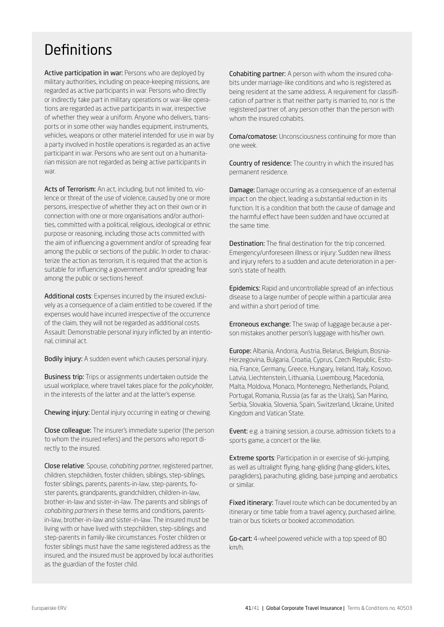## <span id="page-40-0"></span>**Definitions**

Active participation in war: Persons who are deployed by military authorities, including on peace-keeping missions, are regarded as active participants in war. Persons who directly or indirectly take part in military operations or war-like operations are regarded as active participants in war, irrespective of whether they wear a uniform. Anyone who delivers, transports or in some other way handles equipment, instruments, vehicles, weapons or other materiel intended for use in war by a party involved in hostile operations is regarded as an active participant in war. Persons who are sent out on a humanitarian mission are not regarded as being active participants in war.

Acts of Terrorism: An act, including, but not limited to, violence or threat of the use of violence, caused by one or more persons, irrespective of whether they act on their own or in connection with one or more organisations and/or authorities, committed with a political, religious, ideological or ethnic purpose or reasoning, including those acts committed with the aim of influencing a government and/or of spreading fear among the public or sections of the public. In order to characterize the action as terrorism, it is required that the action is suitable for influencing a government and/or spreading fear among the public or sections hereof.

Additional costs: Expenses incurred by the insured exclusively as a consequence of a claim entitled to be covered. If the expenses would have incurred irrespective of the occurrence of the claim, they will not be regarded as additional costs. Assault: Demonstrable personal injury inflicted by an intentional, criminal act.

Bodily injury: A sudden event which causes personal injury.

**Business trip:** Trips or assignments undertaken outside the usual workplace, where travel takes place for the *policyholder*, in the interests of the latter and at the latter's expense.

Chewing injury: Dental injury occurring in eating or chewing.

Close colleague: The insurer's immediate superior (the person to whom the insured refers) and the persons who report directly to the insured.

Close relative: Spouse, *cohabiting partner*, registered partner, children, stepchildren, foster children, siblings, step-siblings, foster siblings, parents, parents-in-law, step-parents, foster parents, grandparents, grandchildren, children-in-law, brother-in-law and sister-in-law. The parents and siblings of *cohabiting partners* in these terms and conditions, parentsin-law, brother-in-law and sister-in-law. The insured must be living with or have lived with stepchildren, step-siblings and step-parents in family-like circumstances. Foster children or foster siblings must have the same registered address as the insured, and the insured must be approved by local authorities as the guardian of the foster child.

Cohabiting partner: A person with whom the insured cohabits under marriage-like conditions and who is registered as being resident at the same address. A requirement for classification of partner is that neither party is married to, nor is the registered partner of, any person other than the person with whom the insured cohabits.

Coma/comatose: Unconsciousness continuing for more than one week.

Country of residence: The country in which the insured has permanent residence.

**Damage:** Damage occurring as a consequence of an external impact on the object, leading a substantial reduction in its function. It is a condition that both the cause of damage and the harmful effect have been sudden and have occurred at the same time.

Destination: The final destination for the trip concerned. Emergency/unforeseen illness or injury: Sudden new illness and injury refers to a sudden and acute deterioration in a person's state of health.

Epidemics: Rapid and uncontrollable spread of an infectious disease to a large number of people within a particular area and within a short period of time.

Erroneous exchange: The swap of luggage because a person mistakes another person's luggage with his/her own.

Europe: Albania, Andorra, Austria, Belarus, Belgium, Bosnia-Herzegovina, Bulgaria, Croatia, Cyprus, Czech Republic, Estonia, France, Germany, Greece, Hungary, Ireland, Italy, Kosovo, Latvia, Liechtenstein, Lithuania, Luxembourg, Macedonia, Malta, Moldova, Monaco, Montenegro, Netherlands, Poland, Portugal, Romania, Russia (as far as the Urals), San Marino, Serbia, Slovakia, Slovenia, Spain, Switzerland, Ukraine, United Kingdom and Vatican State.

Event: e.g. a training session, a course, admission tickets to a sports game, a concert or the like.

Extreme sports: Participation in or exercise of ski-jumping, as well as ultralight flying, hang-gliding (hang-gliders, kites, paragliders), parachuting, gliding, base jumping and aerobatics or similar.

Fixed itinerary: Travel route which can be documented by an itinerary or time table from a travel agency, purchased airline, train or bus tickets or booked accommodation.

Go-cart: 4-wheel powered vehicle with a top speed of 80 km/h.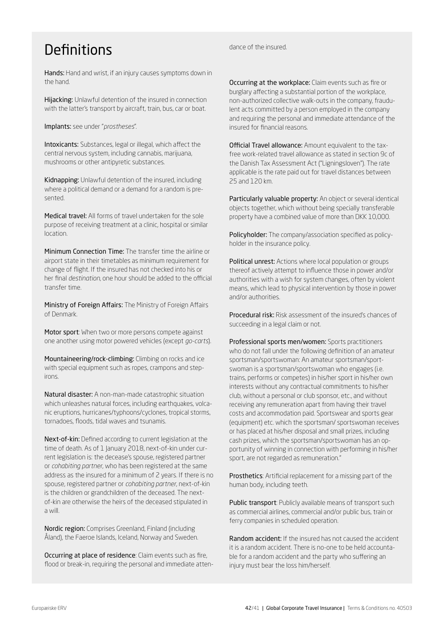## **Definitions**

Hands: Hand and wrist, if an injury causes symptoms down in the hand.

Hijacking: Unlawful detention of the insured in connection with the latter's transport by aircraft, train, bus, car or boat.

Implants: see under "*prostheses*".

Intoxicants: Substances, legal or illegal, which affect the central nervous system, including cannabis, marijuana, mushrooms or other antipyretic substances.

Kidnapping: Unlawful detention of the insured, including where a political demand or a demand for a random is presented.

Medical travel: All forms of travel undertaken for the sole purpose of receiving treatment at a clinic, hospital or similar location.

Minimum Connection Time: The transfer time the airline or airport state in their timetables as minimum requirement for change of flight. If the insured has not checked into his or her final *destination*, one hour should be added to the official transfer time.

Ministry of Foreign Affairs: The Ministry of Foreign Affairs of Denmark.

Motor sport: When two or more persons compete against one another using motor powered vehicles (except *go-carts*).

Mountaineering/rock-climbing: Climbing on rocks and ice with special equipment such as ropes, crampons and stepirons.

Natural disaster: A non-man-made catastrophic situation which unleashes natural forces, including earthquakes, volcanic eruptions, hurricanes/typhoons/cyclones, tropical storms, tornadoes, floods, tidal waves and tsunamis.

Next-of-kin: Defined according to current legislation at the time of death. As of 1 January 2018, next-of-kin under current legislation is: the decease's spouse, registered partner or *cohabiting partner*, who has been registered at the same address as the insured for a minimum of 2 years. If there is no spouse, registered partner or *cohabiting partner*, next-of-kin is the children or grandchildren of the deceased. The nextof-kin are otherwise the heirs of the deceased stipulated in a will.

Nordic region: Comprises Greenland, Finland (including Åland), the Faeroe Islands, Iceland, Norway and Sweden.

Occurring at place of residence: Claim events such as fire, flood or break-in, requiring the personal and immediate attendance of the insured.

Occurring at the workplace: Claim events such as fire or burglary affecting a substantial portion of the workplace, non-authorized collective walk-outs in the company, fraudulent acts committed by a person employed in the company and requiring the personal and immediate attendance of the insured for financial reasons.

Official Travel allowance: Amount equivalent to the taxfree work-related travel allowance as stated in section 9c of the Danish Tax Assessment Act ("Ligningsloven"). The rate applicable is the rate paid out for travel distances between 25 and 120 km.

Particularly valuable property: An object or several identical objects together, which without being specially transferable property have a combined value of more than DKK 10,000.

Policyholder: The company/association specified as policyholder in the insurance policy.

Political unrest: Actions where local population or groups thereof actively attempt to influence those in power and/or authorities with a wish for system changes, often by violent means, which lead to physical intervention by those in power and/or authorities.

Procedural risk: Risk assessment of the insured's chances of succeeding in a legal claim or not.

Professional sports men/women: Sports practitioners who do not fall under the following definition of an amateur sportsman/sportswoman: An amateur sportsman/sportswoman is a sportsman/sportswoman who engages (i.e. trains, performs or competes) in his/her sport in his/her own interests without any contractual commitments to his/her club, without a personal or club sponsor, etc., and without receiving any remuneration apart from having their travel costs and accommodation paid. Sportswear and sports gear (equipment) etc. which the sportsman/ sportswoman receives or has placed at his/her disposal and small prizes, including cash prizes, which the sportsman/sportswoman has an opportunity of winning in connection with performing in his/her sport, are not regarded as remuneration."

Prosthetics: Artificial replacement for a missing part of the human body, including teeth.

Public transport: Publicly available means of transport such as commercial airlines, commercial and/or public bus, train or ferry companies in scheduled operation.

Random accident: If the insured has not caused the accident it is a random accident. There is no-one to be held accountable for a random accident and the party who suffering an injury must bear the loss him/herself.